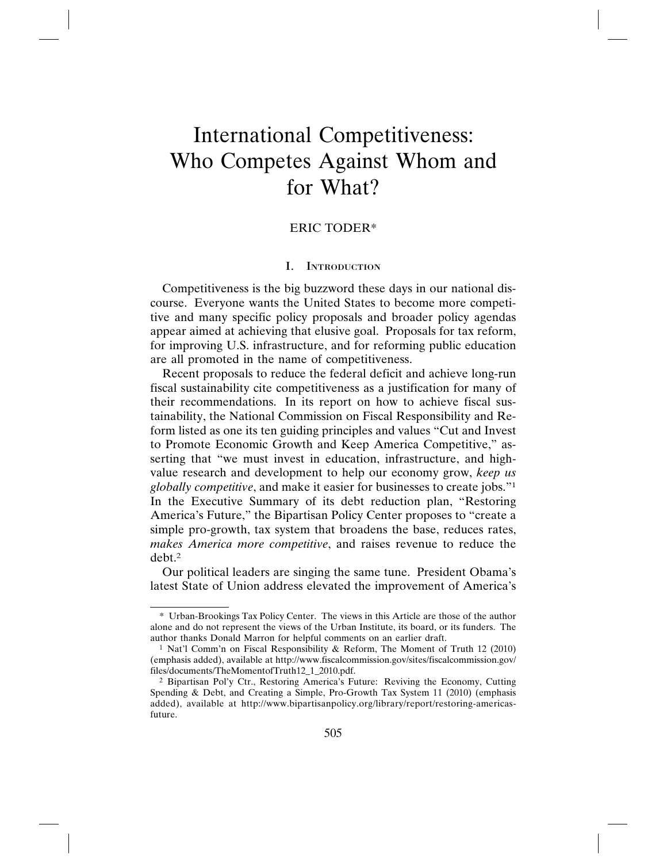# International Competitiveness: Who Competes Against Whom and for What?

# ERIC TODER\*

#### I. INTRODUCTION

Competitiveness is the big buzzword these days in our national discourse. Everyone wants the United States to become more competitive and many specific policy proposals and broader policy agendas appear aimed at achieving that elusive goal. Proposals for tax reform, for improving U.S. infrastructure, and for reforming public education are all promoted in the name of competitiveness.

Recent proposals to reduce the federal deficit and achieve long-run fiscal sustainability cite competitiveness as a justification for many of their recommendations. In its report on how to achieve fiscal sustainability, the National Commission on Fiscal Responsibility and Reform listed as one its ten guiding principles and values "Cut and Invest to Promote Economic Growth and Keep America Competitive," asserting that "we must invest in education, infrastructure, and highvalue research and development to help our economy grow, *keep us globally competitive*, and make it easier for businesses to create jobs."1 In the Executive Summary of its debt reduction plan, "Restoring America's Future," the Bipartisan Policy Center proposes to "create a simple pro-growth, tax system that broadens the base, reduces rates, *makes America more competitive*, and raises revenue to reduce the debt.2

Our political leaders are singing the same tune. President Obama's latest State of Union address elevated the improvement of America's

<sup>\*</sup> Urban-Brookings Tax Policy Center. The views in this Article are those of the author alone and do not represent the views of the Urban Institute, its board, or its funders. The author thanks Donald Marron for helpful comments on an earlier draft.

<sup>1</sup> Nat'l Comm'n on Fiscal Responsibility & Reform, The Moment of Truth 12 (2010) (emphasis added), available at http://www.fiscalcommission.gov/sites/fiscalcommission.gov/ files/documents/TheMomentofTruth12\_1\_2010.pdf.

<sup>2</sup> Bipartisan Pol'y Ctr., Restoring America's Future: Reviving the Economy, Cutting Spending & Debt, and Creating a Simple, Pro-Growth Tax System 11 (2010) (emphasis added), available at http://www.bipartisanpolicy.org/library/report/restoring-americasfuture.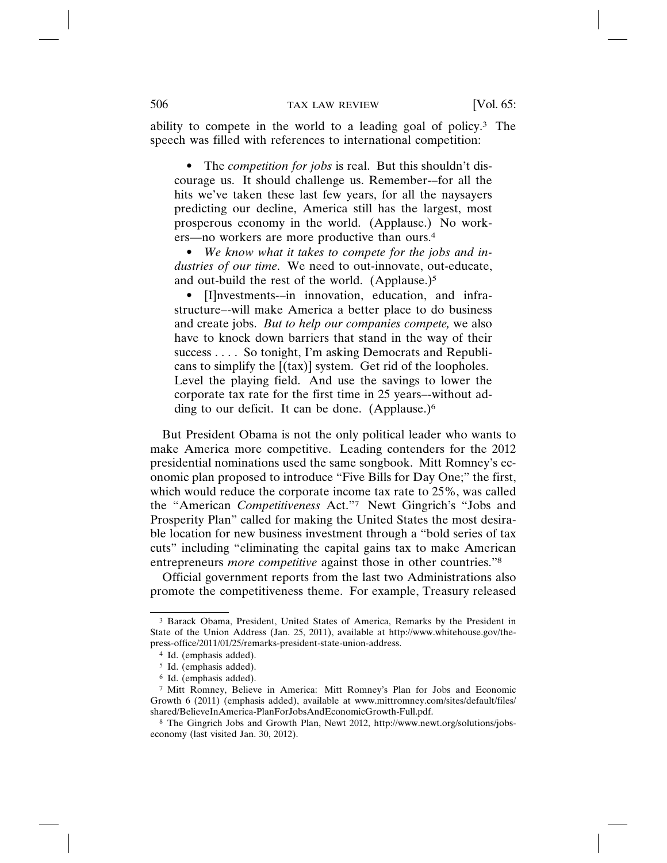ability to compete in the world to a leading goal of policy.3 The speech was filled with references to international competition:

• The *competition for jobs* is real. But this shouldn't discourage us. It should challenge us. Remember-–for all the hits we've taken these last few years, for all the naysayers predicting our decline, America still has the largest, most prosperous economy in the world. (Applause.) No workers—no workers are more productive than ours.4

• *We know what it takes to compete for the jobs and industries of our time*. We need to out-innovate, out-educate, and out-build the rest of the world. (Applause.)<sup>5</sup>

• [I]nvestments-–in innovation, education, and infrastructure–-will make America a better place to do business and create jobs. *But to help our companies compete,* we also have to knock down barriers that stand in the way of their success . . . . So tonight, I'm asking Democrats and Republicans to simplify the [(tax)] system. Get rid of the loopholes. Level the playing field. And use the savings to lower the corporate tax rate for the first time in 25 years–-without adding to our deficit. It can be done. (Applause.)6

But President Obama is not the only political leader who wants to make America more competitive. Leading contenders for the 2012 presidential nominations used the same songbook. Mitt Romney's economic plan proposed to introduce "Five Bills for Day One;" the first, which would reduce the corporate income tax rate to 25%, was called the "American *Competitiveness* Act."7 Newt Gingrich's "Jobs and Prosperity Plan" called for making the United States the most desirable location for new business investment through a "bold series of tax cuts" including "eliminating the capital gains tax to make American entrepreneurs *more competitive* against those in other countries."8

Official government reports from the last two Administrations also promote the competitiveness theme. For example, Treasury released

<sup>3</sup> Barack Obama, President, United States of America, Remarks by the President in State of the Union Address (Jan. 25, 2011), available at http://www.whitehouse.gov/thepress-office/2011/01/25/remarks-president-state-union-address.

<sup>4</sup> Id. (emphasis added).

<sup>5</sup> Id. (emphasis added).

<sup>6</sup> Id. (emphasis added).

<sup>7</sup> Mitt Romney, Believe in America: Mitt Romney's Plan for Jobs and Economic Growth 6 (2011) (emphasis added), available at www.mittromney.com/sites/default/files/ shared/BelieveInAmerica-PlanForJobsAndEconomicGrowth-Full.pdf.

<sup>8</sup> The Gingrich Jobs and Growth Plan, Newt 2012, http://www.newt.org/solutions/jobseconomy (last visited Jan. 30, 2012).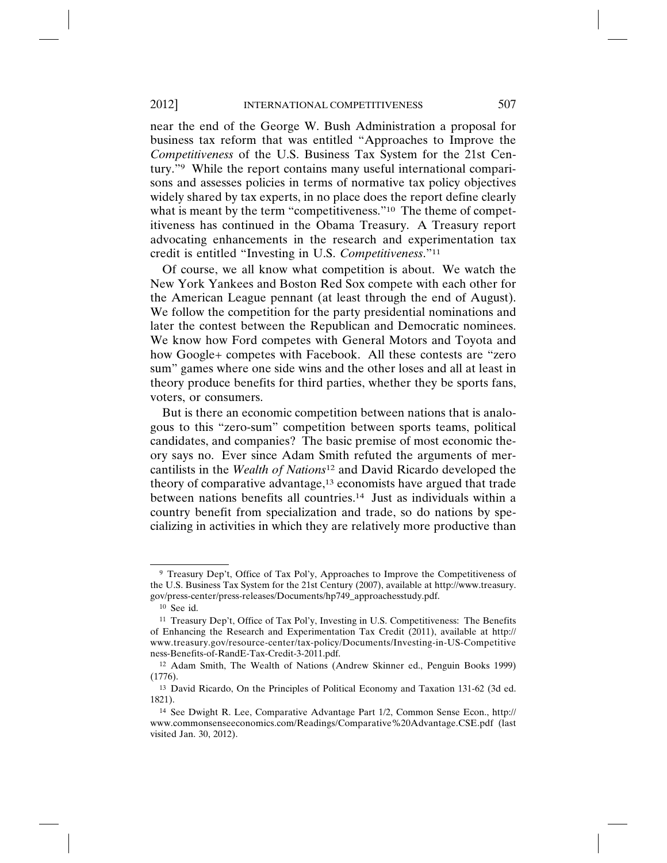near the end of the George W. Bush Administration a proposal for business tax reform that was entitled "Approaches to Improve the *Competitiveness* of the U.S. Business Tax System for the 21st Century."9 While the report contains many useful international comparisons and assesses policies in terms of normative tax policy objectives widely shared by tax experts, in no place does the report define clearly what is meant by the term "competitiveness."<sup>10</sup> The theme of competitiveness has continued in the Obama Treasury. A Treasury report advocating enhancements in the research and experimentation tax credit is entitled "Investing in U.S. *Competitiveness*."11

Of course, we all know what competition is about. We watch the New York Yankees and Boston Red Sox compete with each other for the American League pennant (at least through the end of August). We follow the competition for the party presidential nominations and later the contest between the Republican and Democratic nominees. We know how Ford competes with General Motors and Toyota and how Google+ competes with Facebook. All these contests are "zero sum" games where one side wins and the other loses and all at least in theory produce benefits for third parties, whether they be sports fans, voters, or consumers.

But is there an economic competition between nations that is analogous to this "zero-sum" competition between sports teams, political candidates, and companies? The basic premise of most economic theory says no. Ever since Adam Smith refuted the arguments of mercantilists in the *Wealth of Nations*12 and David Ricardo developed the theory of comparative advantage,<sup>13</sup> economists have argued that trade between nations benefits all countries.14 Just as individuals within a country benefit from specialization and trade, so do nations by specializing in activities in which they are relatively more productive than

<sup>9</sup> Treasury Dep't, Office of Tax Pol'y, Approaches to Improve the Competitiveness of the U.S. Business Tax System for the 21st Century (2007), available at http://www.treasury. gov/press-center/press-releases/Documents/hp749\_approachesstudy.pdf.

<sup>10</sup> See id.

<sup>11</sup> Treasury Dep't, Office of Tax Pol'y, Investing in U.S. Competitiveness: The Benefits of Enhancing the Research and Experimentation Tax Credit (2011), available at http:// www.treasury.gov/resource-center/tax-policy/Documents/Investing-in-US-Competitive ness-Benefits-of-RandE-Tax-Credit-3-2011.pdf.

<sup>12</sup> Adam Smith, The Wealth of Nations (Andrew Skinner ed., Penguin Books 1999) (1776).

<sup>13</sup> David Ricardo, On the Principles of Political Economy and Taxation 131-62 (3d ed. 1821).

<sup>14</sup> See Dwight R. Lee, Comparative Advantage Part 1/2, Common Sense Econ., http:// www.commonsenseeconomics.com/Readings/Comparative%20Advantage.CSE.pdf (last visited Jan. 30, 2012).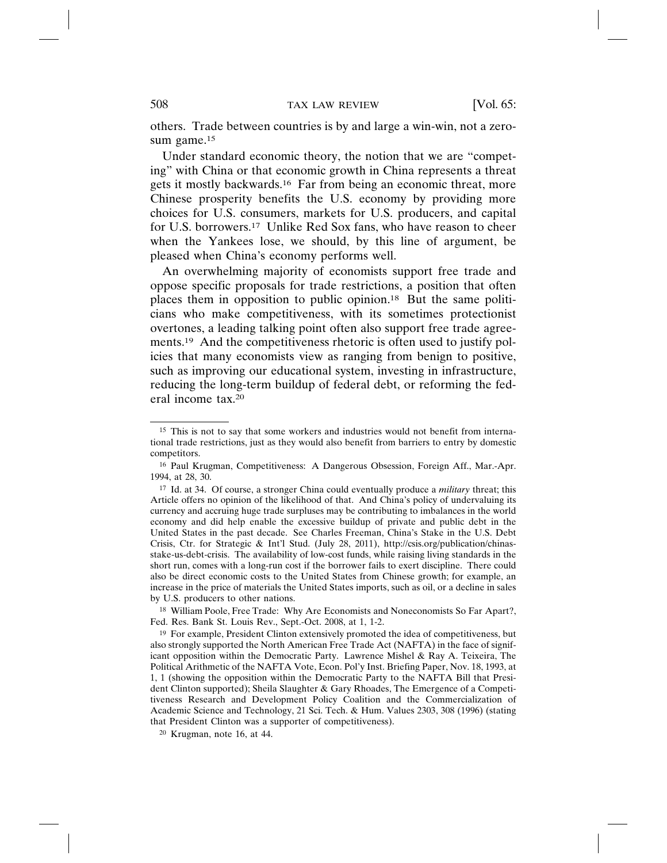others. Trade between countries is by and large a win-win, not a zerosum game.<sup>15</sup>

Under standard economic theory, the notion that we are "competing" with China or that economic growth in China represents a threat gets it mostly backwards.16 Far from being an economic threat, more Chinese prosperity benefits the U.S. economy by providing more choices for U.S. consumers, markets for U.S. producers, and capital for U.S. borrowers.17 Unlike Red Sox fans, who have reason to cheer when the Yankees lose, we should, by this line of argument, be pleased when China's economy performs well.

An overwhelming majority of economists support free trade and oppose specific proposals for trade restrictions, a position that often places them in opposition to public opinion.18 But the same politicians who make competitiveness, with its sometimes protectionist overtones, a leading talking point often also support free trade agreements.19 And the competitiveness rhetoric is often used to justify policies that many economists view as ranging from benign to positive, such as improving our educational system, investing in infrastructure, reducing the long-term buildup of federal debt, or reforming the federal income tax.20

<sup>20</sup> Krugman, note 16, at 44.

<sup>15</sup> This is not to say that some workers and industries would not benefit from international trade restrictions, just as they would also benefit from barriers to entry by domestic competitors.

<sup>16</sup> Paul Krugman, Competitiveness: A Dangerous Obsession, Foreign Aff., Mar.-Apr. 1994, at 28, 30.

<sup>17</sup> Id. at 34. Of course, a stronger China could eventually produce a *military* threat; this Article offers no opinion of the likelihood of that. And China's policy of undervaluing its currency and accruing huge trade surpluses may be contributing to imbalances in the world economy and did help enable the excessive buildup of private and public debt in the United States in the past decade. See Charles Freeman, China's Stake in the U.S. Debt Crisis, Ctr. for Strategic & Int'l Stud. (July 28, 2011), http://csis.org/publication/chinasstake-us-debt-crisis. The availability of low-cost funds, while raising living standards in the short run, comes with a long-run cost if the borrower fails to exert discipline. There could also be direct economic costs to the United States from Chinese growth; for example, an increase in the price of materials the United States imports, such as oil, or a decline in sales by U.S. producers to other nations.

<sup>&</sup>lt;sup>18</sup> William Poole, Free Trade: Why Are Economists and Noneconomists So Far Apart?, Fed. Res. Bank St. Louis Rev., Sept.-Oct. 2008, at 1, 1-2.

<sup>19</sup> For example, President Clinton extensively promoted the idea of competitiveness, but also strongly supported the North American Free Trade Act (NAFTA) in the face of significant opposition within the Democratic Party. Lawrence Mishel & Ray A. Teixeira, The Political Arithmetic of the NAFTA Vote, Econ. Pol'y Inst. Briefing Paper, Nov. 18, 1993, at 1, 1 (showing the opposition within the Democratic Party to the NAFTA Bill that President Clinton supported); Sheila Slaughter & Gary Rhoades, The Emergence of a Competitiveness Research and Development Policy Coalition and the Commercialization of Academic Science and Technology, 21 Sci. Tech. & Hum. Values 2303, 308 (1996) (stating that President Clinton was a supporter of competitiveness).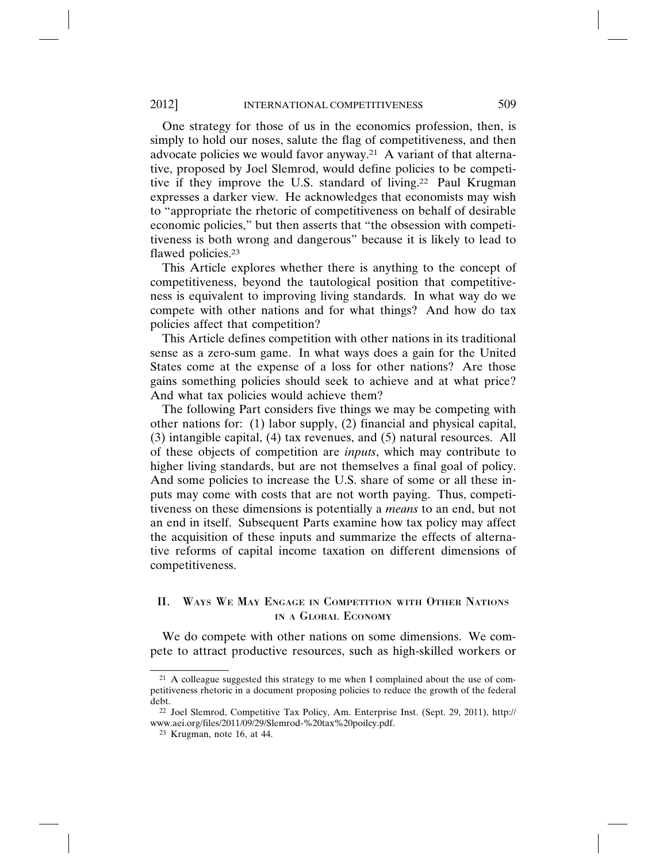One strategy for those of us in the economics profession, then, is simply to hold our noses, salute the flag of competitiveness, and then advocate policies we would favor anyway.21 A variant of that alternative, proposed by Joel Slemrod, would define policies to be competitive if they improve the U.S. standard of living.22 Paul Krugman expresses a darker view. He acknowledges that economists may wish to "appropriate the rhetoric of competitiveness on behalf of desirable economic policies," but then asserts that "the obsession with competitiveness is both wrong and dangerous" because it is likely to lead to flawed policies.23

This Article explores whether there is anything to the concept of competitiveness, beyond the tautological position that competitiveness is equivalent to improving living standards. In what way do we compete with other nations and for what things? And how do tax policies affect that competition?

This Article defines competition with other nations in its traditional sense as a zero-sum game. In what ways does a gain for the United States come at the expense of a loss for other nations? Are those gains something policies should seek to achieve and at what price? And what tax policies would achieve them?

The following Part considers five things we may be competing with other nations for: (1) labor supply, (2) financial and physical capital, (3) intangible capital, (4) tax revenues, and (5) natural resources. All of these objects of competition are *inputs*, which may contribute to higher living standards, but are not themselves a final goal of policy. And some policies to increase the U.S. share of some or all these inputs may come with costs that are not worth paying. Thus, competitiveness on these dimensions is potentially a *means* to an end, but not an end in itself. Subsequent Parts examine how tax policy may affect the acquisition of these inputs and summarize the effects of alternative reforms of capital income taxation on different dimensions of competitiveness.

# II. WAYS WE MAY ENGAGE IN COMPETITION WITH OTHER NATIONS IN A GLOBAL ECONOMY

We do compete with other nations on some dimensions. We compete to attract productive resources, such as high-skilled workers or

<sup>&</sup>lt;sup>21</sup> A colleague suggested this strategy to me when I complained about the use of competitiveness rhetoric in a document proposing policies to reduce the growth of the federal debt.

<sup>22</sup> Joel Slemrod, Competitive Tax Policy, Am. Enterprise Inst. (Sept. 29, 2011), http:// www.aei.org/files/2011/09/29/Slemrod-%20tax%20poilcy.pdf.

<sup>23</sup> Krugman, note 16, at 44.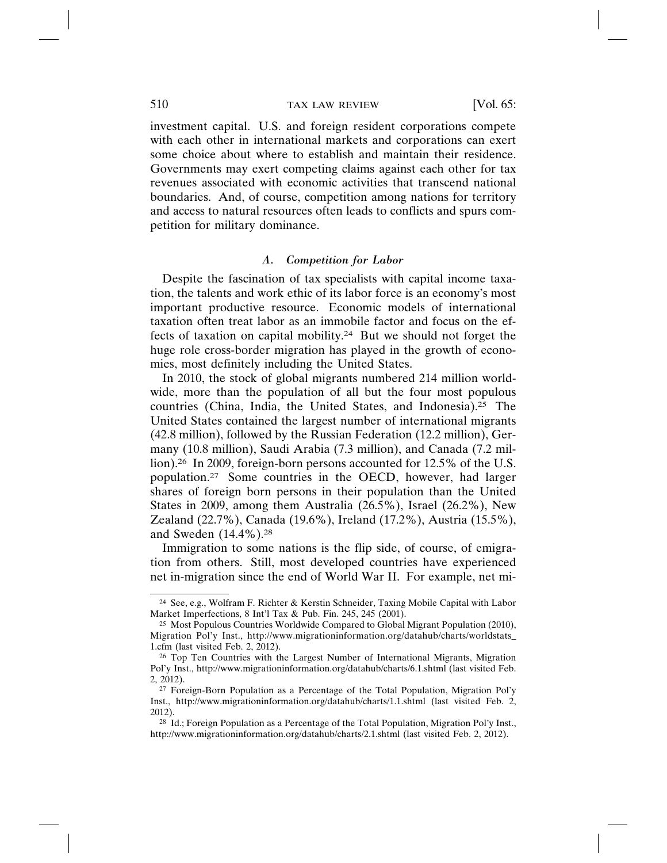investment capital. U.S. and foreign resident corporations compete with each other in international markets and corporations can exert some choice about where to establish and maintain their residence. Governments may exert competing claims against each other for tax revenues associated with economic activities that transcend national boundaries. And, of course, competition among nations for territory and access to natural resources often leads to conflicts and spurs competition for military dominance.

### *A. Competition for Labor*

Despite the fascination of tax specialists with capital income taxation, the talents and work ethic of its labor force is an economy's most important productive resource. Economic models of international taxation often treat labor as an immobile factor and focus on the effects of taxation on capital mobility.24 But we should not forget the huge role cross-border migration has played in the growth of economies, most definitely including the United States.

In 2010, the stock of global migrants numbered 214 million worldwide, more than the population of all but the four most populous countries (China, India, the United States, and Indonesia).25 The United States contained the largest number of international migrants (42.8 million), followed by the Russian Federation (12.2 million), Germany (10.8 million), Saudi Arabia (7.3 million), and Canada (7.2 million).26 In 2009, foreign-born persons accounted for 12.5% of the U.S. population.27 Some countries in the OECD, however, had larger shares of foreign born persons in their population than the United States in 2009, among them Australia (26.5%), Israel (26.2%), New Zealand (22.7%), Canada (19.6%), Ireland (17.2%), Austria (15.5%), and Sweden (14.4%).28

Immigration to some nations is the flip side, of course, of emigration from others. Still, most developed countries have experienced net in-migration since the end of World War II. For example, net mi-

<sup>24</sup> See, e.g., Wolfram F. Richter & Kerstin Schneider, Taxing Mobile Capital with Labor Market Imperfections, 8 Int'l Tax & Pub. Fin. 245, 245 (2001).

<sup>25</sup> Most Populous Countries Worldwide Compared to Global Migrant Population (2010), Migration Pol'y Inst., http://www.migrationinformation.org/datahub/charts/worldstats\_ 1.cfm (last visited Feb. 2, 2012).

<sup>26</sup> Top Ten Countries with the Largest Number of International Migrants, Migration Pol'y Inst., http://www.migrationinformation.org/datahub/charts/6.1.shtml (last visited Feb. 2, 2012).

<sup>27</sup> Foreign-Born Population as a Percentage of the Total Population, Migration Pol'y Inst., http://www.migrationinformation.org/datahub/charts/1.1.shtml (last visited Feb. 2, 2012).

<sup>28</sup> Id.; Foreign Population as a Percentage of the Total Population, Migration Pol'y Inst., http://www.migrationinformation.org/datahub/charts/2.1.shtml (last visited Feb. 2, 2012).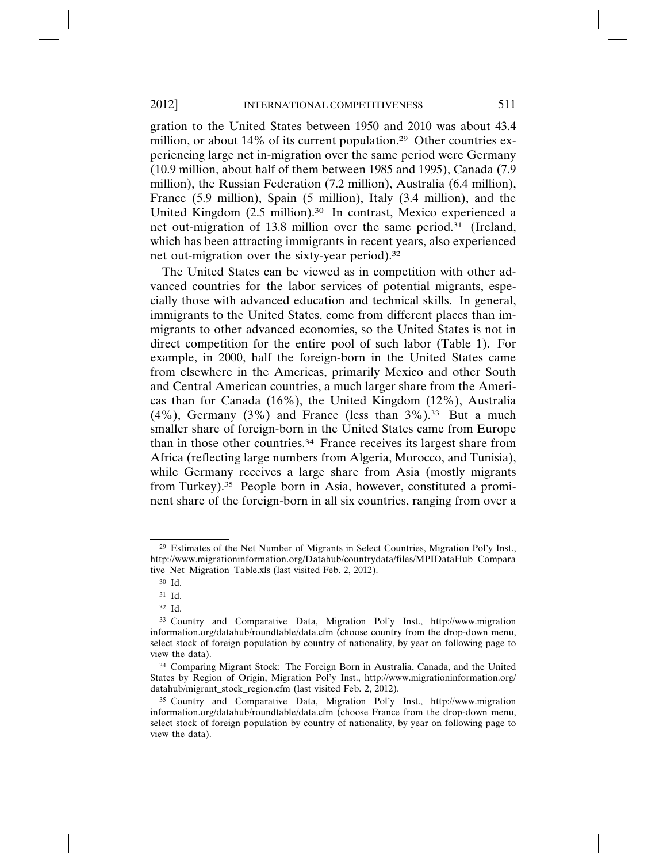gration to the United States between 1950 and 2010 was about 43.4 million, or about 14% of its current population.<sup>29</sup> Other countries experiencing large net in-migration over the same period were Germany (10.9 million, about half of them between 1985 and 1995), Canada (7.9 million), the Russian Federation (7.2 million), Australia (6.4 million), France (5.9 million), Spain (5 million), Italy (3.4 million), and the United Kingdom (2.5 million).30 In contrast, Mexico experienced a net out-migration of 13.8 million over the same period.31 (Ireland, which has been attracting immigrants in recent years, also experienced net out-migration over the sixty-year period).32

The United States can be viewed as in competition with other advanced countries for the labor services of potential migrants, especially those with advanced education and technical skills. In general, immigrants to the United States, come from different places than immigrants to other advanced economies, so the United States is not in direct competition for the entire pool of such labor (Table 1). For example, in 2000, half the foreign-born in the United States came from elsewhere in the Americas, primarily Mexico and other South and Central American countries, a much larger share from the Americas than for Canada (16%), the United Kingdom (12%), Australia  $(4\%)$ , Germany  $(3\%)$  and France (less than  $3\%$ ).<sup>33</sup> But a much smaller share of foreign-born in the United States came from Europe than in those other countries.34 France receives its largest share from Africa (reflecting large numbers from Algeria, Morocco, and Tunisia), while Germany receives a large share from Asia (mostly migrants from Turkey).35 People born in Asia, however, constituted a prominent share of the foreign-born in all six countries, ranging from over a

<sup>29</sup> Estimates of the Net Number of Migrants in Select Countries, Migration Pol'y Inst., http://www.migrationinformation.org/Datahub/countrydata/files/MPIDataHub\_Compara tive\_Net\_Migration\_Table.xls (last visited Feb. 2, 2012).

<sup>30</sup> Id.

<sup>31</sup> Id.

<sup>32</sup> Id.

<sup>33</sup> Country and Comparative Data, Migration Pol'y Inst., http://www.migration information.org/datahub/roundtable/data.cfm (choose country from the drop-down menu, select stock of foreign population by country of nationality, by year on following page to view the data).

<sup>34</sup> Comparing Migrant Stock: The Foreign Born in Australia, Canada, and the United States by Region of Origin, Migration Pol'y Inst., http://www.migrationinformation.org/ datahub/migrant\_stock\_region.cfm (last visited Feb. 2, 2012).

<sup>35</sup> Country and Comparative Data, Migration Pol'y Inst., http://www.migration information.org/datahub/roundtable/data.cfm (choose France from the drop-down menu, select stock of foreign population by country of nationality, by year on following page to view the data).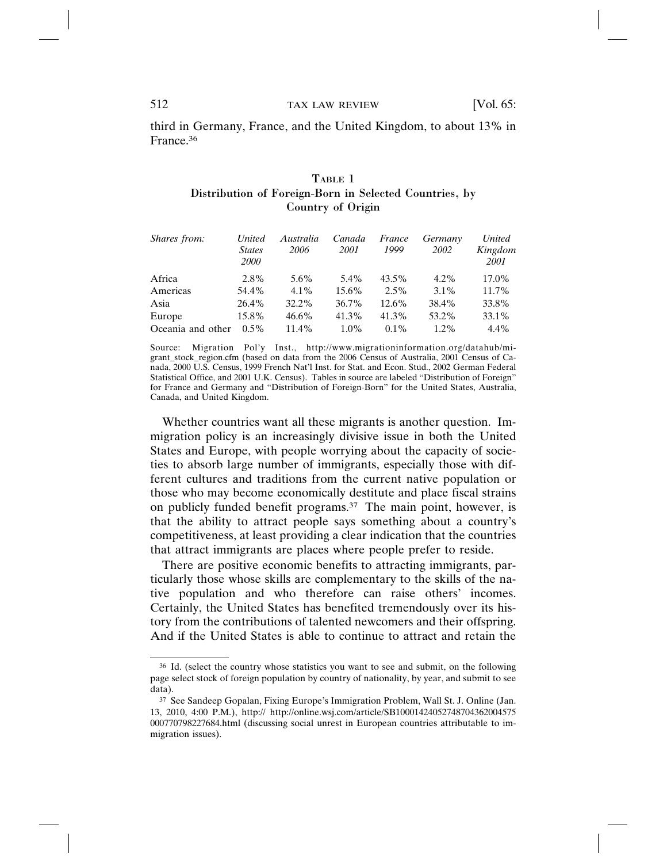third in Germany, France, and the United Kingdom, to about 13% in France.36

# TABLE 1 Distribution of Foreign-Born in Selected Countries, by Country of Origin

| Shares from:      | <i>United</i><br><b>States</b><br><i>2000</i> | Australia<br>2006 | Canada<br><i>2001</i> | France<br>1999 | Germany<br>2002 | United<br>Kingdom<br>2001 |
|-------------------|-----------------------------------------------|-------------------|-----------------------|----------------|-----------------|---------------------------|
| Africa            | 2.8%                                          | 5.6%              | 5.4%                  | $43.5\%$       | $4.2\%$         | 17.0%                     |
| Americas          | 54.4%                                         | $4.1\%$           | $15.6\%$              | $2.5\%$        | $3.1\%$         | $11.7\%$                  |
| Asia              | 26.4%                                         | 32.2%             | 36.7%                 | $12.6\%$       | 38.4%           | 33.8%                     |
| Europe            | 15.8%                                         | $46.6\%$          | 41.3%                 | 41.3%          | 53.2%           | 33.1%                     |
| Oceania and other | $0.5\%$                                       | $11.4\%$          | $1.0\%$               | $0.1\%$        | $1.2\%$         | $4.4\%$                   |

Source: Migration Pol'y Inst., http://www.migrationinformation.org/datahub/migrant\_stock\_region.cfm (based on data from the 2006 Census of Australia, 2001 Census of Canada, 2000 U.S. Census, 1999 French Nat'l Inst. for Stat. and Econ. Stud., 2002 German Federal Statistical Office, and 2001 U.K. Census). Tables in source are labeled "Distribution of Foreign" for France and Germany and "Distribution of Foreign-Born" for the United States, Australia, Canada, and United Kingdom.

Whether countries want all these migrants is another question. Immigration policy is an increasingly divisive issue in both the United States and Europe, with people worrying about the capacity of societies to absorb large number of immigrants, especially those with different cultures and traditions from the current native population or those who may become economically destitute and place fiscal strains on publicly funded benefit programs.37 The main point, however, is that the ability to attract people says something about a country's competitiveness, at least providing a clear indication that the countries that attract immigrants are places where people prefer to reside.

There are positive economic benefits to attracting immigrants, particularly those whose skills are complementary to the skills of the native population and who therefore can raise others' incomes. Certainly, the United States has benefited tremendously over its history from the contributions of talented newcomers and their offspring. And if the United States is able to continue to attract and retain the

<sup>36</sup> Id. (select the country whose statistics you want to see and submit, on the following page select stock of foreign population by country of nationality, by year, and submit to see data).

<sup>37</sup> See Sandeep Gopalan, Fixing Europe's Immigration Problem, Wall St. J. Online (Jan. 13, 2010, 4:00 P.M.), http:// http://online.wsj.com/article/SB10001424052748704362004575 000770798227684.html (discussing social unrest in European countries attributable to immigration issues).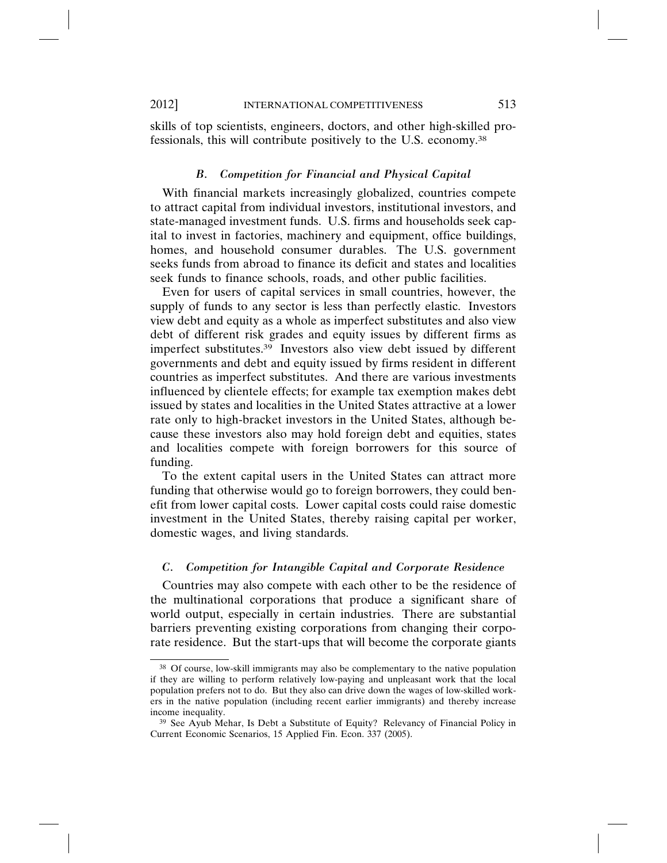skills of top scientists, engineers, doctors, and other high-skilled professionals, this will contribute positively to the U.S. economy.38

#### *B. Competition for Financial and Physical Capital*

With financial markets increasingly globalized, countries compete to attract capital from individual investors, institutional investors, and state-managed investment funds. U.S. firms and households seek capital to invest in factories, machinery and equipment, office buildings, homes, and household consumer durables. The U.S. government seeks funds from abroad to finance its deficit and states and localities seek funds to finance schools, roads, and other public facilities.

Even for users of capital services in small countries, however, the supply of funds to any sector is less than perfectly elastic. Investors view debt and equity as a whole as imperfect substitutes and also view debt of different risk grades and equity issues by different firms as imperfect substitutes.39 Investors also view debt issued by different governments and debt and equity issued by firms resident in different countries as imperfect substitutes. And there are various investments influenced by clientele effects; for example tax exemption makes debt issued by states and localities in the United States attractive at a lower rate only to high-bracket investors in the United States, although because these investors also may hold foreign debt and equities, states and localities compete with foreign borrowers for this source of funding.

To the extent capital users in the United States can attract more funding that otherwise would go to foreign borrowers, they could benefit from lower capital costs. Lower capital costs could raise domestic investment in the United States, thereby raising capital per worker, domestic wages, and living standards.

#### *C. Competition for Intangible Capital and Corporate Residence*

Countries may also compete with each other to be the residence of the multinational corporations that produce a significant share of world output, especially in certain industries. There are substantial barriers preventing existing corporations from changing their corporate residence. But the start-ups that will become the corporate giants

<sup>38</sup> Of course, low-skill immigrants may also be complementary to the native population if they are willing to perform relatively low-paying and unpleasant work that the local population prefers not to do. But they also can drive down the wages of low-skilled workers in the native population (including recent earlier immigrants) and thereby increase income inequality.

<sup>39</sup> See Ayub Mehar, Is Debt a Substitute of Equity? Relevancy of Financial Policy in Current Economic Scenarios, 15 Applied Fin. Econ. 337 (2005).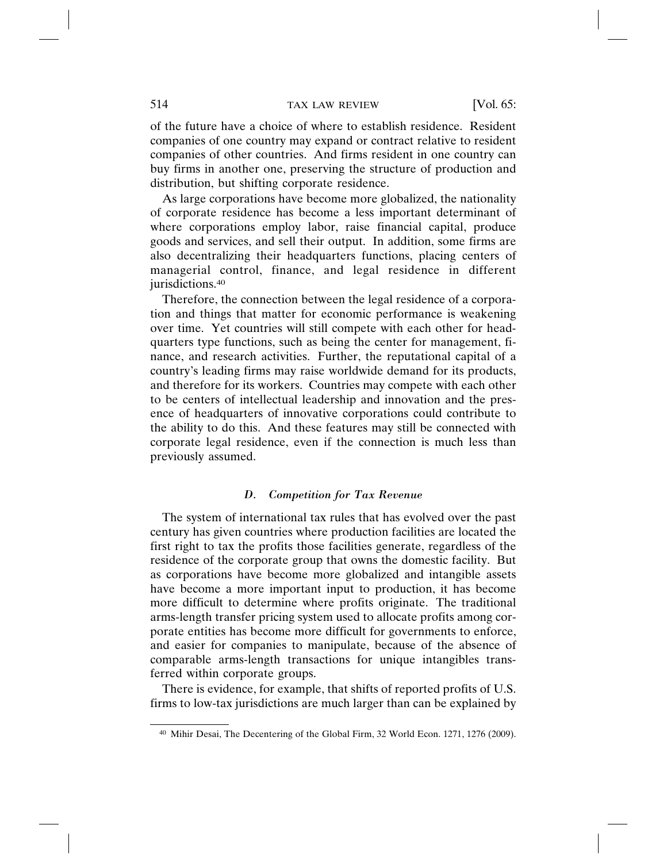of the future have a choice of where to establish residence. Resident companies of one country may expand or contract relative to resident companies of other countries. And firms resident in one country can buy firms in another one, preserving the structure of production and distribution, but shifting corporate residence.

As large corporations have become more globalized, the nationality of corporate residence has become a less important determinant of where corporations employ labor, raise financial capital, produce goods and services, and sell their output. In addition, some firms are also decentralizing their headquarters functions, placing centers of managerial control, finance, and legal residence in different jurisdictions.<sup>40</sup>

Therefore, the connection between the legal residence of a corporation and things that matter for economic performance is weakening over time. Yet countries will still compete with each other for headquarters type functions, such as being the center for management, finance, and research activities. Further, the reputational capital of a country's leading firms may raise worldwide demand for its products, and therefore for its workers. Countries may compete with each other to be centers of intellectual leadership and innovation and the presence of headquarters of innovative corporations could contribute to the ability to do this. And these features may still be connected with corporate legal residence, even if the connection is much less than previously assumed.

#### *D. Competition for Tax Revenue*

The system of international tax rules that has evolved over the past century has given countries where production facilities are located the first right to tax the profits those facilities generate, regardless of the residence of the corporate group that owns the domestic facility. But as corporations have become more globalized and intangible assets have become a more important input to production, it has become more difficult to determine where profits originate. The traditional arms-length transfer pricing system used to allocate profits among corporate entities has become more difficult for governments to enforce, and easier for companies to manipulate, because of the absence of comparable arms-length transactions for unique intangibles transferred within corporate groups.

There is evidence, for example, that shifts of reported profits of U.S. firms to low-tax jurisdictions are much larger than can be explained by

<sup>40</sup> Mihir Desai, The Decentering of the Global Firm, 32 World Econ. 1271, 1276 (2009).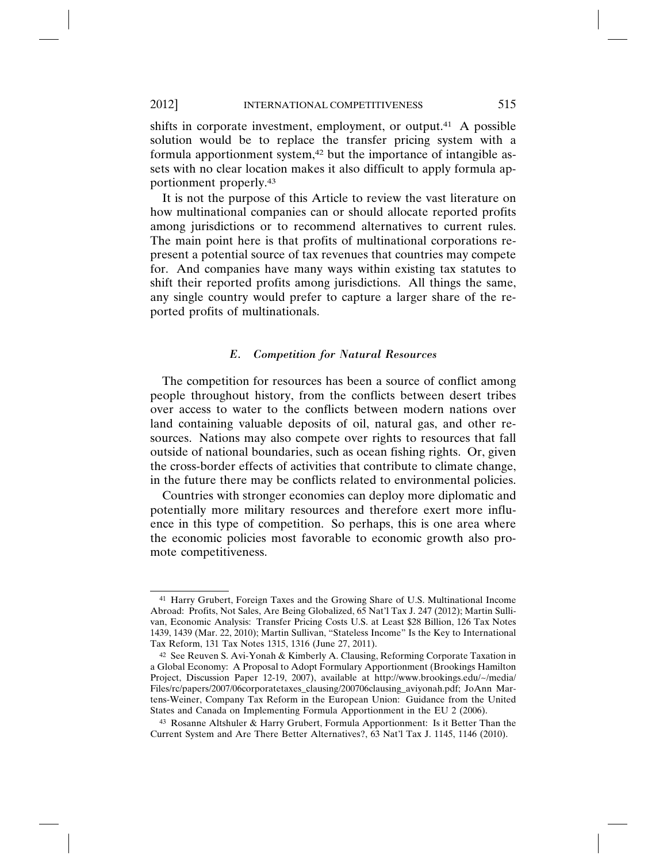shifts in corporate investment, employment, or output.<sup>41</sup> A possible solution would be to replace the transfer pricing system with a formula apportionment system,<sup>42</sup> but the importance of intangible assets with no clear location makes it also difficult to apply formula apportionment properly.43

It is not the purpose of this Article to review the vast literature on how multinational companies can or should allocate reported profits among jurisdictions or to recommend alternatives to current rules. The main point here is that profits of multinational corporations represent a potential source of tax revenues that countries may compete for. And companies have many ways within existing tax statutes to shift their reported profits among jurisdictions. All things the same, any single country would prefer to capture a larger share of the reported profits of multinationals.

### *E. Competition for Natural Resources*

The competition for resources has been a source of conflict among people throughout history, from the conflicts between desert tribes over access to water to the conflicts between modern nations over land containing valuable deposits of oil, natural gas, and other resources. Nations may also compete over rights to resources that fall outside of national boundaries, such as ocean fishing rights. Or, given the cross-border effects of activities that contribute to climate change, in the future there may be conflicts related to environmental policies.

Countries with stronger economies can deploy more diplomatic and potentially more military resources and therefore exert more influence in this type of competition. So perhaps, this is one area where the economic policies most favorable to economic growth also promote competitiveness.

<sup>41</sup> Harry Grubert, Foreign Taxes and the Growing Share of U.S. Multinational Income Abroad: Profits, Not Sales, Are Being Globalized, 65 Nat'l Tax J. 247 (2012); Martin Sullivan, Economic Analysis: Transfer Pricing Costs U.S. at Least \$28 Billion, 126 Tax Notes 1439, 1439 (Mar. 22, 2010); Martin Sullivan, "Stateless Income" Is the Key to International Tax Reform, 131 Tax Notes 1315, 1316 (June 27, 2011).

<sup>42</sup> See Reuven S. Avi-Yonah & Kimberly A. Clausing, Reforming Corporate Taxation in a Global Economy: A Proposal to Adopt Formulary Apportionment (Brookings Hamilton Project, Discussion Paper 12-19, 2007), available at http://www.brookings.edu/~/media/ Files/rc/papers/2007/06corporatetaxes\_clausing/200706clausing\_aviyonah.pdf; JoAnn Martens-Weiner, Company Tax Reform in the European Union: Guidance from the United States and Canada on Implementing Formula Apportionment in the EU 2 (2006).

<sup>43</sup> Rosanne Altshuler & Harry Grubert, Formula Apportionment: Is it Better Than the Current System and Are There Better Alternatives?, 63 Nat'l Tax J. 1145, 1146 (2010).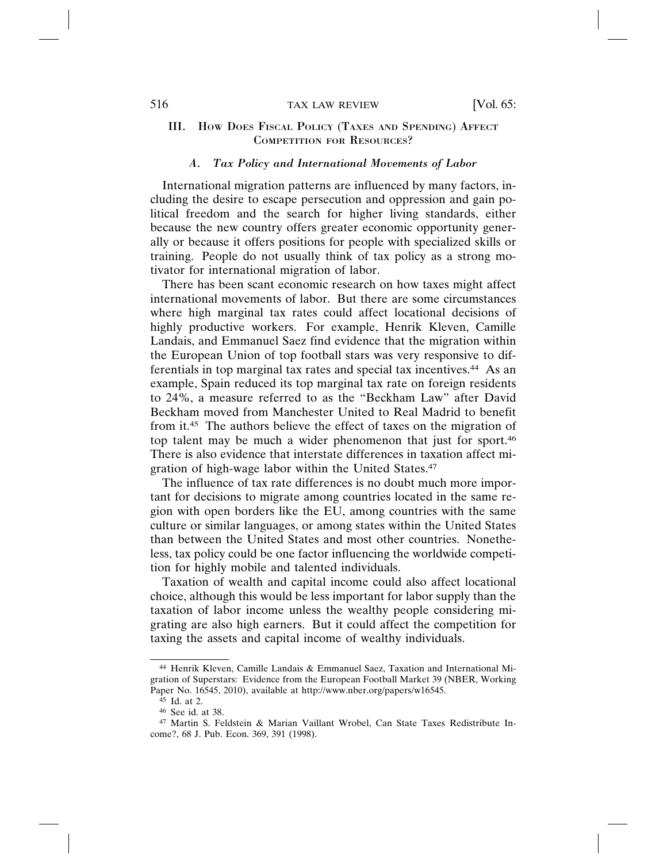### *A. Tax Policy and International Movements of Labor*

International migration patterns are influenced by many factors, including the desire to escape persecution and oppression and gain political freedom and the search for higher living standards, either because the new country offers greater economic opportunity generally or because it offers positions for people with specialized skills or training. People do not usually think of tax policy as a strong motivator for international migration of labor.

There has been scant economic research on how taxes might affect international movements of labor. But there are some circumstances where high marginal tax rates could affect locational decisions of highly productive workers. For example, Henrik Kleven, Camille Landais, and Emmanuel Saez find evidence that the migration within the European Union of top football stars was very responsive to differentials in top marginal tax rates and special tax incentives.44 As an example, Spain reduced its top marginal tax rate on foreign residents to 24%, a measure referred to as the "Beckham Law" after David Beckham moved from Manchester United to Real Madrid to benefit from it.45 The authors believe the effect of taxes on the migration of top talent may be much a wider phenomenon that just for sport.46 There is also evidence that interstate differences in taxation affect migration of high-wage labor within the United States.47

The influence of tax rate differences is no doubt much more important for decisions to migrate among countries located in the same region with open borders like the EU, among countries with the same culture or similar languages, or among states within the United States than between the United States and most other countries. Nonetheless, tax policy could be one factor influencing the worldwide competition for highly mobile and talented individuals.

Taxation of wealth and capital income could also affect locational choice, although this would be less important for labor supply than the taxation of labor income unless the wealthy people considering migrating are also high earners. But it could affect the competition for taxing the assets and capital income of wealthy individuals.

<sup>44</sup> Henrik Kleven, Camille Landais & Emmanuel Saez, Taxation and International Migration of Superstars: Evidence from the European Football Market 39 (NBER, Working Paper No. 16545, 2010), available at http://www.nber.org/papers/w16545.

<sup>45</sup> Id. at 2.

<sup>46</sup> See id. at 38.

<sup>47</sup> Martin S. Feldstein & Marian Vaillant Wrobel, Can State Taxes Redistribute Income?, 68 J. Pub. Econ. 369, 391 (1998).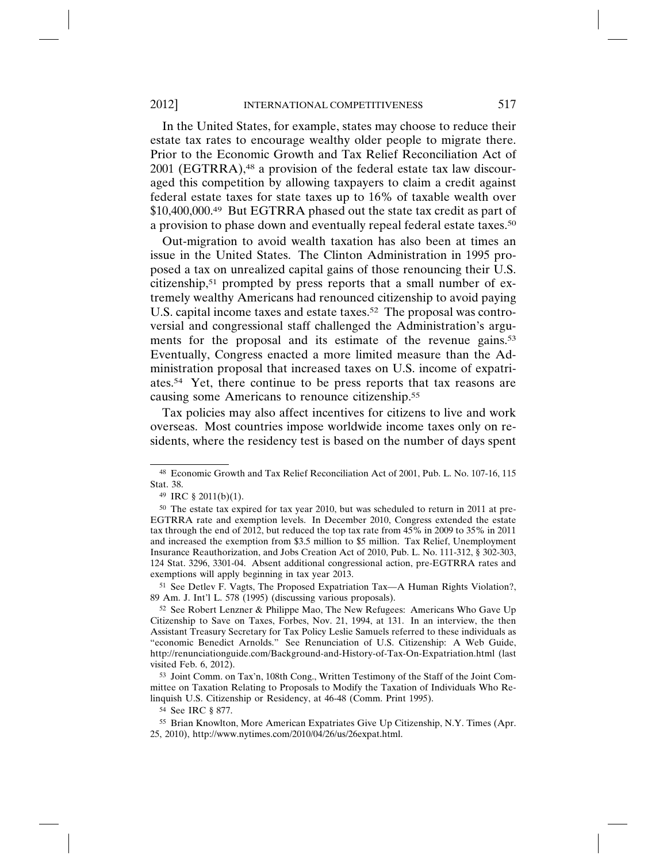In the United States, for example, states may choose to reduce their estate tax rates to encourage wealthy older people to migrate there. Prior to the Economic Growth and Tax Relief Reconciliation Act of 2001 (EGTRRA),48 a provision of the federal estate tax law discouraged this competition by allowing taxpayers to claim a credit against federal estate taxes for state taxes up to 16% of taxable wealth over \$10,400,000.49 But EGTRRA phased out the state tax credit as part of a provision to phase down and eventually repeal federal estate taxes.50

Out-migration to avoid wealth taxation has also been at times an issue in the United States. The Clinton Administration in 1995 proposed a tax on unrealized capital gains of those renouncing their U.S. citizenship,51 prompted by press reports that a small number of extremely wealthy Americans had renounced citizenship to avoid paying U.S. capital income taxes and estate taxes.<sup>52</sup> The proposal was controversial and congressional staff challenged the Administration's arguments for the proposal and its estimate of the revenue gains.<sup>53</sup> Eventually, Congress enacted a more limited measure than the Administration proposal that increased taxes on U.S. income of expatriates.54 Yet, there continue to be press reports that tax reasons are causing some Americans to renounce citizenship.55

Tax policies may also affect incentives for citizens to live and work overseas. Most countries impose worldwide income taxes only on residents, where the residency test is based on the number of days spent

<sup>51</sup> See Detlev F. Vagts, The Proposed Expatriation Tax—A Human Rights Violation?, 89 Am. J. Int'l L. 578 (1995) (discussing various proposals).

<sup>53</sup> Joint Comm. on Tax'n, 108th Cong., Written Testimony of the Staff of the Joint Committee on Taxation Relating to Proposals to Modify the Taxation of Individuals Who Relinquish U.S. Citizenship or Residency, at 46-48 (Comm. Print 1995).

<sup>54</sup> See IRC § 877.

<sup>48</sup> Economic Growth and Tax Relief Reconciliation Act of 2001, Pub. L. No. 107-16, 115 Stat. 38.

<sup>49</sup> IRC § 2011(b)(1).

<sup>50</sup> The estate tax expired for tax year 2010, but was scheduled to return in 2011 at pre-EGTRRA rate and exemption levels. In December 2010, Congress extended the estate tax through the end of 2012, but reduced the top tax rate from 45% in 2009 to 35% in 2011 and increased the exemption from \$3.5 million to \$5 million. Tax Relief, Unemployment Insurance Reauthorization, and Jobs Creation Act of 2010, Pub. L. No. 111-312, § 302-303, 124 Stat. 3296, 3301-04. Absent additional congressional action, pre-EGTRRA rates and exemptions will apply beginning in tax year 2013.

<sup>52</sup> See Robert Lenzner & Philippe Mao, The New Refugees: Americans Who Gave Up Citizenship to Save on Taxes, Forbes, Nov. 21, 1994, at 131. In an interview, the then Assistant Treasury Secretary for Tax Policy Leslie Samuels referred to these individuals as "economic Benedict Arnolds." See Renunciation of U.S. Citizenship: A Web Guide, http://renunciationguide.com/Background-and-History-of-Tax-On-Expatriation.html (last visited Feb. 6, 2012).

<sup>55</sup> Brian Knowlton, More American Expatriates Give Up Citizenship, N.Y. Times (Apr. 25, 2010), http://www.nytimes.com/2010/04/26/us/26expat.html.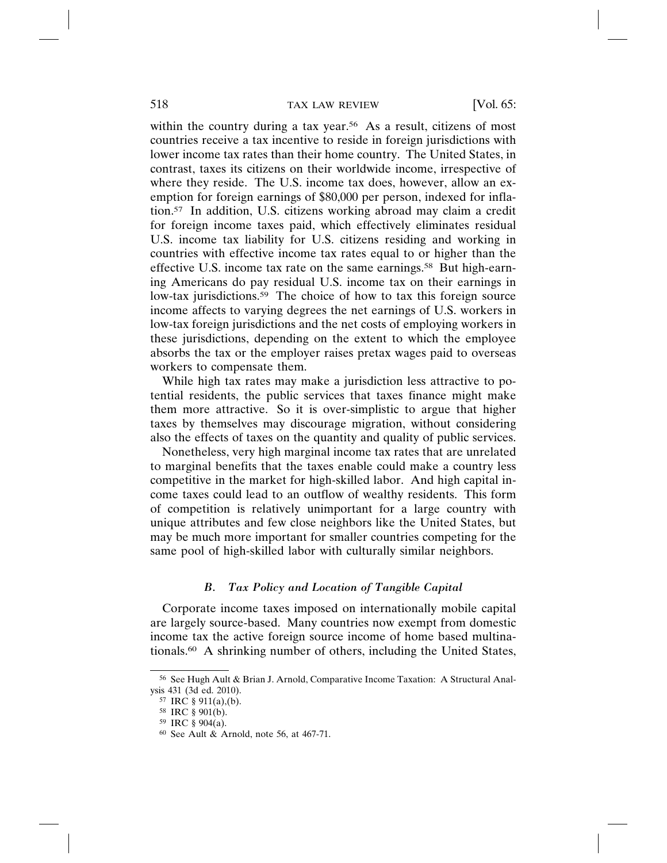within the country during a tax year.<sup>56</sup> As a result, citizens of most countries receive a tax incentive to reside in foreign jurisdictions with lower income tax rates than their home country. The United States, in contrast, taxes its citizens on their worldwide income, irrespective of where they reside. The U.S. income tax does, however, allow an exemption for foreign earnings of \$80,000 per person, indexed for inflation.57 In addition, U.S. citizens working abroad may claim a credit for foreign income taxes paid, which effectively eliminates residual U.S. income tax liability for U.S. citizens residing and working in countries with effective income tax rates equal to or higher than the effective U.S. income tax rate on the same earnings.<sup>58</sup> But high-earning Americans do pay residual U.S. income tax on their earnings in low-tax jurisdictions.<sup>59</sup> The choice of how to tax this foreign source income affects to varying degrees the net earnings of U.S. workers in low-tax foreign jurisdictions and the net costs of employing workers in these jurisdictions, depending on the extent to which the employee absorbs the tax or the employer raises pretax wages paid to overseas workers to compensate them.

While high tax rates may make a jurisdiction less attractive to potential residents, the public services that taxes finance might make them more attractive. So it is over-simplistic to argue that higher taxes by themselves may discourage migration, without considering also the effects of taxes on the quantity and quality of public services.

Nonetheless, very high marginal income tax rates that are unrelated to marginal benefits that the taxes enable could make a country less competitive in the market for high-skilled labor. And high capital income taxes could lead to an outflow of wealthy residents. This form of competition is relatively unimportant for a large country with unique attributes and few close neighbors like the United States, but may be much more important for smaller countries competing for the same pool of high-skilled labor with culturally similar neighbors.

#### *B. Tax Policy and Location of Tangible Capital*

Corporate income taxes imposed on internationally mobile capital are largely source-based. Many countries now exempt from domestic income tax the active foreign source income of home based multinationals.60 A shrinking number of others, including the United States,

<sup>56</sup> See Hugh Ault & Brian J. Arnold, Comparative Income Taxation: A Structural Analysis 431 (3d ed. 2010).

<sup>57</sup> IRC § 911(a),(b).

<sup>58</sup> IRC § 901(b).

<sup>59</sup> IRC § 904(a).

<sup>60</sup> See Ault & Arnold, note 56, at 467-71.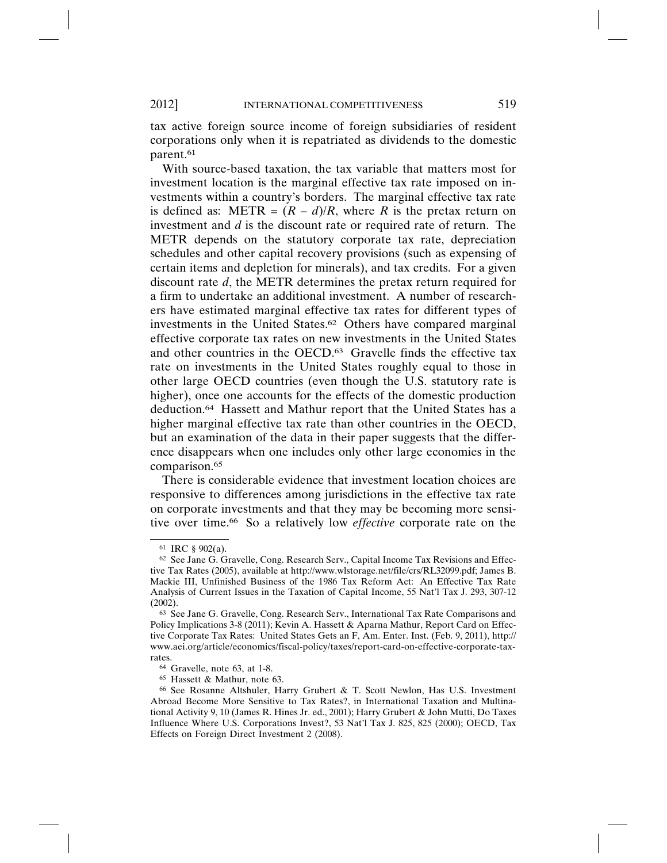tax active foreign source income of foreign subsidiaries of resident corporations only when it is repatriated as dividends to the domestic parent.61

With source-based taxation, the tax variable that matters most for investment location is the marginal effective tax rate imposed on investments within a country's borders. The marginal effective tax rate is defined as: METR =  $(R - d)/R$ , where *R* is the pretax return on investment and *d* is the discount rate or required rate of return. The METR depends on the statutory corporate tax rate, depreciation schedules and other capital recovery provisions (such as expensing of certain items and depletion for minerals), and tax credits. For a given discount rate *d*, the METR determines the pretax return required for a firm to undertake an additional investment. A number of researchers have estimated marginal effective tax rates for different types of investments in the United States.62 Others have compared marginal effective corporate tax rates on new investments in the United States and other countries in the OECD.<sup>63</sup> Gravelle finds the effective tax rate on investments in the United States roughly equal to those in other large OECD countries (even though the U.S. statutory rate is higher), once one accounts for the effects of the domestic production deduction.64 Hassett and Mathur report that the United States has a higher marginal effective tax rate than other countries in the OECD, but an examination of the data in their paper suggests that the difference disappears when one includes only other large economies in the comparison.65

There is considerable evidence that investment location choices are responsive to differences among jurisdictions in the effective tax rate on corporate investments and that they may be becoming more sensitive over time.66 So a relatively low *effective* corporate rate on the

<sup>61</sup> IRC § 902(a).

<sup>62</sup> See Jane G. Gravelle, Cong. Research Serv., Capital Income Tax Revisions and Effective Tax Rates (2005), available at http://www.wlstorage.net/file/crs/RL32099.pdf; James B. Mackie III, Unfinished Business of the 1986 Tax Reform Act: An Effective Tax Rate Analysis of Current Issues in the Taxation of Capital Income, 55 Nat'l Tax J. 293, 307-12 (2002).

<sup>63</sup> See Jane G. Gravelle, Cong. Research Serv., International Tax Rate Comparisons and Policy Implications 3-8 (2011); Kevin A. Hassett & Aparna Mathur, Report Card on Effective Corporate Tax Rates: United States Gets an F, Am. Enter. Inst. (Feb. 9, 2011), http:// www.aei.org/article/economics/fiscal-policy/taxes/report-card-on-effective-corporate-taxrates.

<sup>64</sup> Gravelle, note 63, at 1-8.

<sup>65</sup> Hassett & Mathur, note 63.

<sup>66</sup> See Rosanne Altshuler, Harry Grubert & T. Scott Newlon, Has U.S. Investment Abroad Become More Sensitive to Tax Rates?, in International Taxation and Multinational Activity 9, 10 (James R. Hines Jr. ed., 2001); Harry Grubert & John Mutti, Do Taxes Influence Where U.S. Corporations Invest?, 53 Nat'l Tax J. 825, 825 (2000); OECD, Tax Effects on Foreign Direct Investment 2 (2008).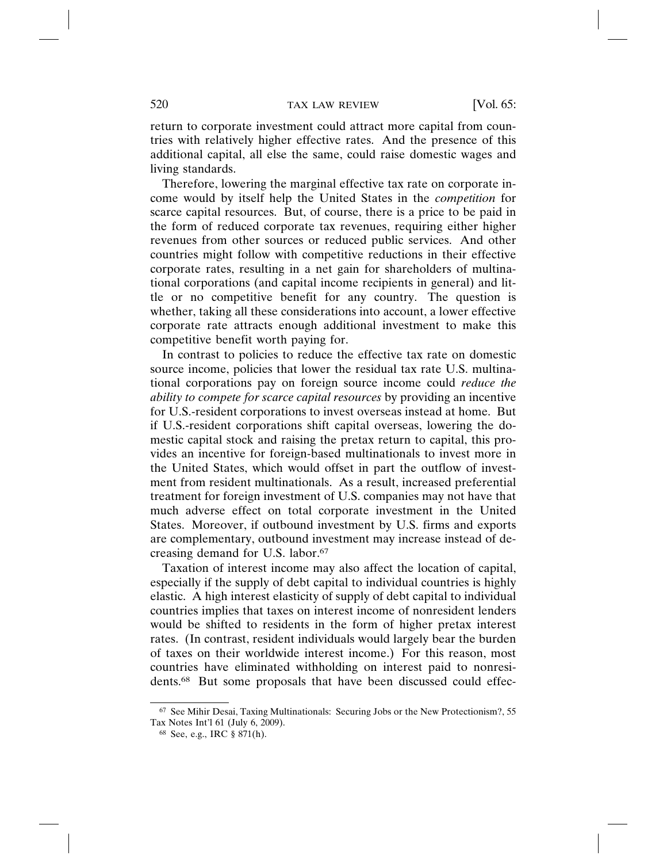return to corporate investment could attract more capital from countries with relatively higher effective rates. And the presence of this additional capital, all else the same, could raise domestic wages and living standards.

Therefore, lowering the marginal effective tax rate on corporate income would by itself help the United States in the *competition* for scarce capital resources. But, of course, there is a price to be paid in the form of reduced corporate tax revenues, requiring either higher revenues from other sources or reduced public services. And other countries might follow with competitive reductions in their effective corporate rates, resulting in a net gain for shareholders of multinational corporations (and capital income recipients in general) and little or no competitive benefit for any country. The question is whether, taking all these considerations into account, a lower effective corporate rate attracts enough additional investment to make this competitive benefit worth paying for.

In contrast to policies to reduce the effective tax rate on domestic source income, policies that lower the residual tax rate U.S. multinational corporations pay on foreign source income could *reduce the ability to compete for scarce capital resources* by providing an incentive for U.S.-resident corporations to invest overseas instead at home. But if U.S.-resident corporations shift capital overseas, lowering the domestic capital stock and raising the pretax return to capital, this provides an incentive for foreign-based multinationals to invest more in the United States, which would offset in part the outflow of investment from resident multinationals. As a result, increased preferential treatment for foreign investment of U.S. companies may not have that much adverse effect on total corporate investment in the United States. Moreover, if outbound investment by U.S. firms and exports are complementary, outbound investment may increase instead of decreasing demand for U.S. labor.67

Taxation of interest income may also affect the location of capital, especially if the supply of debt capital to individual countries is highly elastic. A high interest elasticity of supply of debt capital to individual countries implies that taxes on interest income of nonresident lenders would be shifted to residents in the form of higher pretax interest rates. (In contrast, resident individuals would largely bear the burden of taxes on their worldwide interest income.) For this reason, most countries have eliminated withholding on interest paid to nonresidents.68 But some proposals that have been discussed could effec-

<sup>67</sup> See Mihir Desai, Taxing Multinationals: Securing Jobs or the New Protectionism?, 55 Tax Notes Int'l 61 (July 6, 2009).

<sup>68</sup> See, e.g., IRC § 871(h).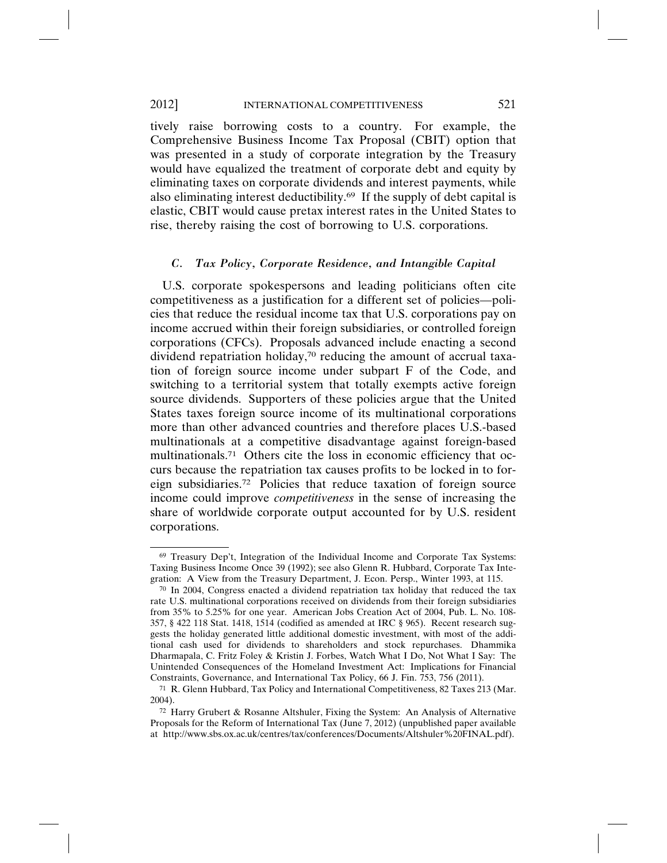tively raise borrowing costs to a country. For example, the Comprehensive Business Income Tax Proposal (CBIT) option that was presented in a study of corporate integration by the Treasury would have equalized the treatment of corporate debt and equity by eliminating taxes on corporate dividends and interest payments, while also eliminating interest deductibility.<sup>69</sup> If the supply of debt capital is elastic, CBIT would cause pretax interest rates in the United States to rise, thereby raising the cost of borrowing to U.S. corporations.

#### *C. Tax Policy, Corporate Residence, and Intangible Capital*

U.S. corporate spokespersons and leading politicians often cite competitiveness as a justification for a different set of policies—policies that reduce the residual income tax that U.S. corporations pay on income accrued within their foreign subsidiaries, or controlled foreign corporations (CFCs). Proposals advanced include enacting a second dividend repatriation holiday,<sup>70</sup> reducing the amount of accrual taxation of foreign source income under subpart F of the Code, and switching to a territorial system that totally exempts active foreign source dividends. Supporters of these policies argue that the United States taxes foreign source income of its multinational corporations more than other advanced countries and therefore places U.S.-based multinationals at a competitive disadvantage against foreign-based multinationals.<sup>71</sup> Others cite the loss in economic efficiency that occurs because the repatriation tax causes profits to be locked in to foreign subsidiaries.72 Policies that reduce taxation of foreign source income could improve *competitiveness* in the sense of increasing the share of worldwide corporate output accounted for by U.S. resident corporations.

<sup>69</sup> Treasury Dep't, Integration of the Individual Income and Corporate Tax Systems: Taxing Business Income Once 39 (1992); see also Glenn R. Hubbard, Corporate Tax Integration: A View from the Treasury Department, J. Econ. Persp., Winter 1993, at 115.

 $70$  In 2004, Congress enacted a dividend repatriation tax holiday that reduced the tax rate U.S. multinational corporations received on dividends from their foreign subsidiaries from 35% to 5.25% for one year. American Jobs Creation Act of 2004, Pub. L. No. 108- 357, § 422 118 Stat. 1418, 1514 (codified as amended at IRC § 965). Recent research suggests the holiday generated little additional domestic investment, with most of the additional cash used for dividends to shareholders and stock repurchases. Dhammika Dharmapala, C. Fritz Foley & Kristin J. Forbes, Watch What I Do, Not What I Say: The Unintended Consequences of the Homeland Investment Act: Implications for Financial Constraints, Governance, and International Tax Policy, 66 J. Fin. 753, 756 (2011).

<sup>71</sup> R. Glenn Hubbard, Tax Policy and International Competitiveness, 82 Taxes 213 (Mar. 2004).

<sup>72</sup> Harry Grubert & Rosanne Altshuler, Fixing the System: An Analysis of Alternative Proposals for the Reform of International Tax (June 7, 2012) (unpublished paper available at http://www.sbs.ox.ac.uk/centres/tax/conferences/Documents/Altshuler%20FINAL.pdf).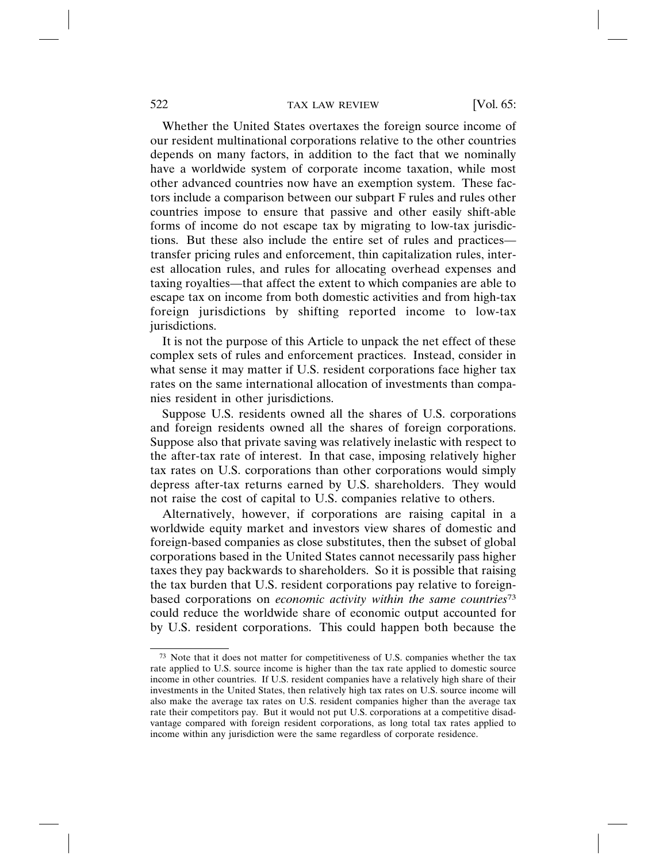Whether the United States overtaxes the foreign source income of our resident multinational corporations relative to the other countries depends on many factors, in addition to the fact that we nominally have a worldwide system of corporate income taxation, while most other advanced countries now have an exemption system. These factors include a comparison between our subpart F rules and rules other countries impose to ensure that passive and other easily shift-able forms of income do not escape tax by migrating to low-tax jurisdictions. But these also include the entire set of rules and practices transfer pricing rules and enforcement, thin capitalization rules, interest allocation rules, and rules for allocating overhead expenses and taxing royalties—that affect the extent to which companies are able to escape tax on income from both domestic activities and from high-tax foreign jurisdictions by shifting reported income to low-tax jurisdictions.

It is not the purpose of this Article to unpack the net effect of these complex sets of rules and enforcement practices. Instead, consider in what sense it may matter if U.S. resident corporations face higher tax rates on the same international allocation of investments than companies resident in other jurisdictions.

Suppose U.S. residents owned all the shares of U.S. corporations and foreign residents owned all the shares of foreign corporations. Suppose also that private saving was relatively inelastic with respect to the after-tax rate of interest. In that case, imposing relatively higher tax rates on U.S. corporations than other corporations would simply depress after-tax returns earned by U.S. shareholders. They would not raise the cost of capital to U.S. companies relative to others.

Alternatively, however, if corporations are raising capital in a worldwide equity market and investors view shares of domestic and foreign-based companies as close substitutes, then the subset of global corporations based in the United States cannot necessarily pass higher taxes they pay backwards to shareholders. So it is possible that raising the tax burden that U.S. resident corporations pay relative to foreignbased corporations on *economic activity within the same countries*<sup>73</sup> could reduce the worldwide share of economic output accounted for by U.S. resident corporations. This could happen both because the

<sup>73</sup> Note that it does not matter for competitiveness of U.S. companies whether the tax rate applied to U.S. source income is higher than the tax rate applied to domestic source income in other countries. If U.S. resident companies have a relatively high share of their investments in the United States, then relatively high tax rates on U.S. source income will also make the average tax rates on U.S. resident companies higher than the average tax rate their competitors pay. But it would not put U.S. corporations at a competitive disadvantage compared with foreign resident corporations, as long total tax rates applied to income within any jurisdiction were the same regardless of corporate residence.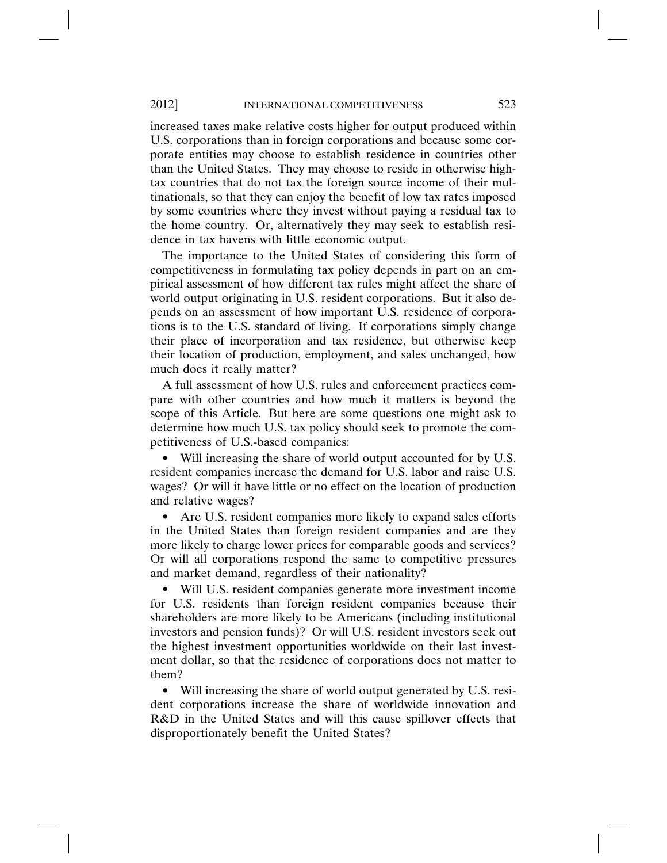increased taxes make relative costs higher for output produced within U.S. corporations than in foreign corporations and because some corporate entities may choose to establish residence in countries other than the United States. They may choose to reside in otherwise hightax countries that do not tax the foreign source income of their multinationals, so that they can enjoy the benefit of low tax rates imposed by some countries where they invest without paying a residual tax to the home country. Or, alternatively they may seek to establish residence in tax havens with little economic output.

The importance to the United States of considering this form of competitiveness in formulating tax policy depends in part on an empirical assessment of how different tax rules might affect the share of world output originating in U.S. resident corporations. But it also depends on an assessment of how important U.S. residence of corporations is to the U.S. standard of living. If corporations simply change their place of incorporation and tax residence, but otherwise keep their location of production, employment, and sales unchanged, how much does it really matter?

A full assessment of how U.S. rules and enforcement practices compare with other countries and how much it matters is beyond the scope of this Article. But here are some questions one might ask to determine how much U.S. tax policy should seek to promote the competitiveness of U.S.-based companies:

• Will increasing the share of world output accounted for by U.S. resident companies increase the demand for U.S. labor and raise U.S. wages? Or will it have little or no effect on the location of production and relative wages?

• Are U.S. resident companies more likely to expand sales efforts in the United States than foreign resident companies and are they more likely to charge lower prices for comparable goods and services? Or will all corporations respond the same to competitive pressures and market demand, regardless of their nationality?

• Will U.S. resident companies generate more investment income for U.S. residents than foreign resident companies because their shareholders are more likely to be Americans (including institutional investors and pension funds)? Or will U.S. resident investors seek out the highest investment opportunities worldwide on their last investment dollar, so that the residence of corporations does not matter to them?

• Will increasing the share of world output generated by U.S. resident corporations increase the share of worldwide innovation and R&D in the United States and will this cause spillover effects that disproportionately benefit the United States?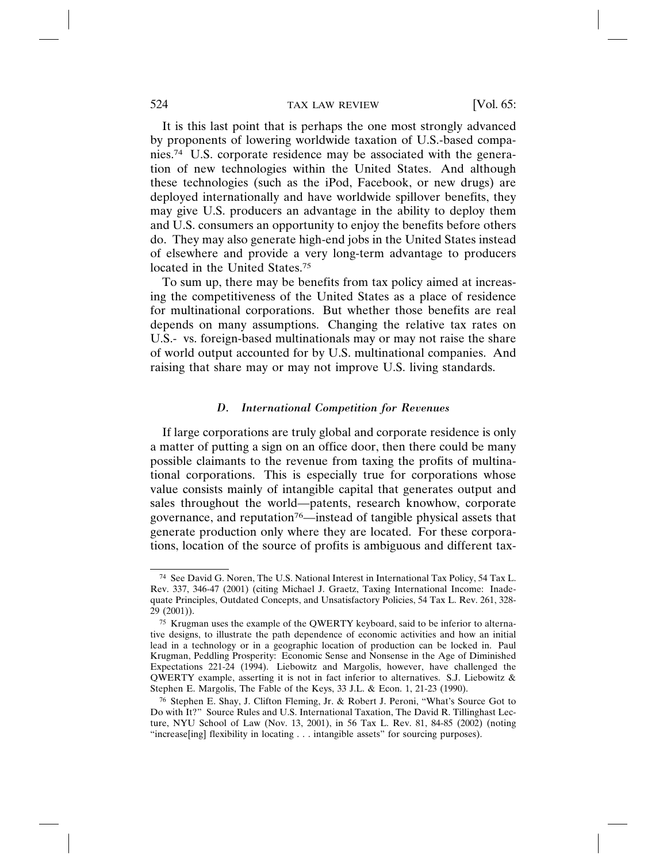It is this last point that is perhaps the one most strongly advanced by proponents of lowering worldwide taxation of U.S.-based companies.74 U.S. corporate residence may be associated with the generation of new technologies within the United States. And although these technologies (such as the iPod, Facebook, or new drugs) are deployed internationally and have worldwide spillover benefits, they may give U.S. producers an advantage in the ability to deploy them and U.S. consumers an opportunity to enjoy the benefits before others do. They may also generate high-end jobs in the United States instead of elsewhere and provide a very long-term advantage to producers located in the United States.75

To sum up, there may be benefits from tax policy aimed at increasing the competitiveness of the United States as a place of residence for multinational corporations. But whether those benefits are real depends on many assumptions. Changing the relative tax rates on U.S.- vs. foreign-based multinationals may or may not raise the share of world output accounted for by U.S. multinational companies. And raising that share may or may not improve U.S. living standards.

#### *D. International Competition for Revenues*

If large corporations are truly global and corporate residence is only a matter of putting a sign on an office door, then there could be many possible claimants to the revenue from taxing the profits of multinational corporations. This is especially true for corporations whose value consists mainly of intangible capital that generates output and sales throughout the world—patents, research knowhow, corporate governance, and reputation<sup>76</sup>—instead of tangible physical assets that generate production only where they are located. For these corporations, location of the source of profits is ambiguous and different tax-

<sup>74</sup> See David G. Noren, The U.S. National Interest in International Tax Policy, 54 Tax L. Rev. 337, 346-47 (2001) (citing Michael J. Graetz, Taxing International Income: Inadequate Principles, Outdated Concepts, and Unsatisfactory Policies, 54 Tax L. Rev. 261, 328- 29 (2001)).

<sup>75</sup> Krugman uses the example of the QWERTY keyboard, said to be inferior to alternative designs, to illustrate the path dependence of economic activities and how an initial lead in a technology or in a geographic location of production can be locked in. Paul Krugman, Peddling Prosperity: Economic Sense and Nonsense in the Age of Diminished Expectations 221-24 (1994). Liebowitz and Margolis, however, have challenged the QWERTY example, asserting it is not in fact inferior to alternatives. S.J. Liebowitz & Stephen E. Margolis, The Fable of the Keys, 33 J.L. & Econ. 1, 21-23 (1990).

<sup>76</sup> Stephen E. Shay, J. Clifton Fleming, Jr. & Robert J. Peroni, "What's Source Got to Do with It?" Source Rules and U.S. International Taxation, The David R. Tillinghast Lecture, NYU School of Law (Nov. 13, 2001), in 56 Tax L. Rev. 81, 84-85 (2002) (noting "increase[ing] flexibility in locating . . . intangible assets" for sourcing purposes).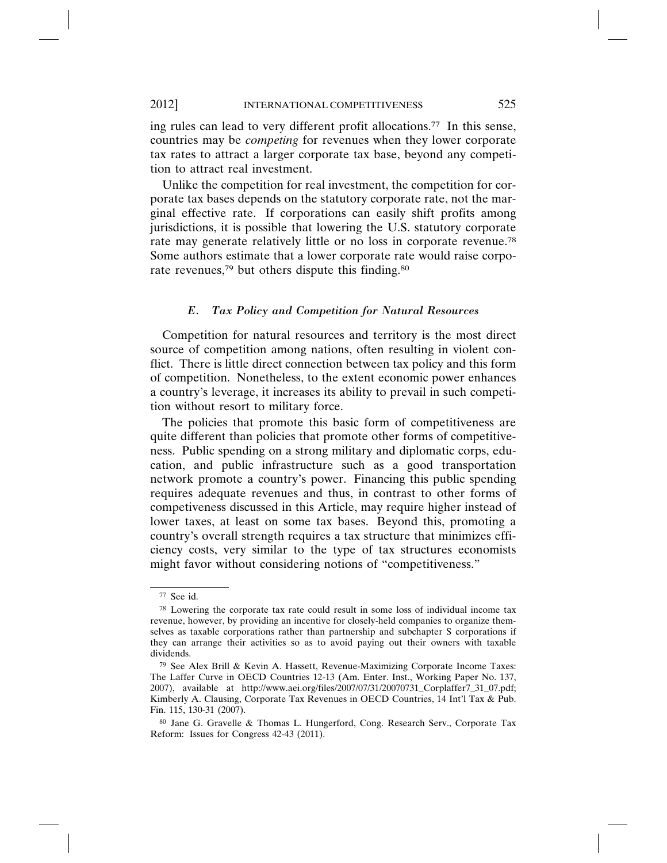ing rules can lead to very different profit allocations.77 In this sense, countries may be *competing* for revenues when they lower corporate tax rates to attract a larger corporate tax base, beyond any competition to attract real investment.

Unlike the competition for real investment, the competition for corporate tax bases depends on the statutory corporate rate, not the marginal effective rate. If corporations can easily shift profits among jurisdictions, it is possible that lowering the U.S. statutory corporate rate may generate relatively little or no loss in corporate revenue.78 Some authors estimate that a lower corporate rate would raise corporate revenues,<sup>79</sup> but others dispute this finding.<sup>80</sup>

### *E. Tax Policy and Competition for Natural Resources*

Competition for natural resources and territory is the most direct source of competition among nations, often resulting in violent conflict. There is little direct connection between tax policy and this form of competition. Nonetheless, to the extent economic power enhances a country's leverage, it increases its ability to prevail in such competition without resort to military force.

The policies that promote this basic form of competitiveness are quite different than policies that promote other forms of competitiveness. Public spending on a strong military and diplomatic corps, education, and public infrastructure such as a good transportation network promote a country's power. Financing this public spending requires adequate revenues and thus, in contrast to other forms of competiveness discussed in this Article, may require higher instead of lower taxes, at least on some tax bases. Beyond this, promoting a country's overall strength requires a tax structure that minimizes efficiency costs, very similar to the type of tax structures economists might favor without considering notions of "competitiveness."

<sup>77</sup> See id.

<sup>78</sup> Lowering the corporate tax rate could result in some loss of individual income tax revenue, however, by providing an incentive for closely-held companies to organize themselves as taxable corporations rather than partnership and subchapter S corporations if they can arrange their activities so as to avoid paying out their owners with taxable dividends.

<sup>79</sup> See Alex Brill & Kevin A. Hassett, Revenue-Maximizing Corporate Income Taxes: The Laffer Curve in OECD Countries 12-13 (Am. Enter. Inst., Working Paper No. 137, 2007), available at http://www.aei.org/files/2007/07/31/20070731\_Corplaffer7\_31\_07.pdf; Kimberly A. Clausing, Corporate Tax Revenues in OECD Countries, 14 Int'l Tax & Pub. Fin. 115, 130-31 (2007).

<sup>80</sup> Jane G. Gravelle & Thomas L. Hungerford, Cong. Research Serv., Corporate Tax Reform: Issues for Congress 42-43 (2011).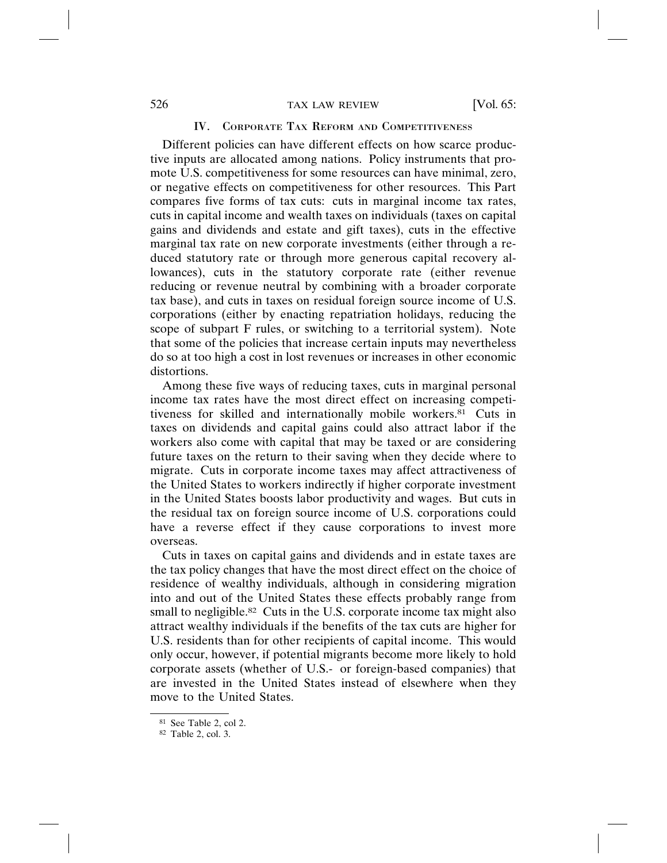### IV. CORPORATE TAX REFORM AND COMPETITIVENESS

Different policies can have different effects on how scarce productive inputs are allocated among nations. Policy instruments that promote U.S. competitiveness for some resources can have minimal, zero, or negative effects on competitiveness for other resources. This Part compares five forms of tax cuts: cuts in marginal income tax rates, cuts in capital income and wealth taxes on individuals (taxes on capital gains and dividends and estate and gift taxes), cuts in the effective marginal tax rate on new corporate investments (either through a reduced statutory rate or through more generous capital recovery allowances), cuts in the statutory corporate rate (either revenue reducing or revenue neutral by combining with a broader corporate tax base), and cuts in taxes on residual foreign source income of U.S. corporations (either by enacting repatriation holidays, reducing the scope of subpart F rules, or switching to a territorial system). Note that some of the policies that increase certain inputs may nevertheless do so at too high a cost in lost revenues or increases in other economic distortions.

Among these five ways of reducing taxes, cuts in marginal personal income tax rates have the most direct effect on increasing competitiveness for skilled and internationally mobile workers.81 Cuts in taxes on dividends and capital gains could also attract labor if the workers also come with capital that may be taxed or are considering future taxes on the return to their saving when they decide where to migrate. Cuts in corporate income taxes may affect attractiveness of the United States to workers indirectly if higher corporate investment in the United States boosts labor productivity and wages. But cuts in the residual tax on foreign source income of U.S. corporations could have a reverse effect if they cause corporations to invest more overseas.

Cuts in taxes on capital gains and dividends and in estate taxes are the tax policy changes that have the most direct effect on the choice of residence of wealthy individuals, although in considering migration into and out of the United States these effects probably range from small to negligible.<sup>82</sup> Cuts in the U.S. corporate income tax might also attract wealthy individuals if the benefits of the tax cuts are higher for U.S. residents than for other recipients of capital income. This would only occur, however, if potential migrants become more likely to hold corporate assets (whether of U.S.- or foreign-based companies) that are invested in the United States instead of elsewhere when they move to the United States.

<sup>81</sup> See Table 2, col 2.

<sup>82</sup> Table 2, col. 3.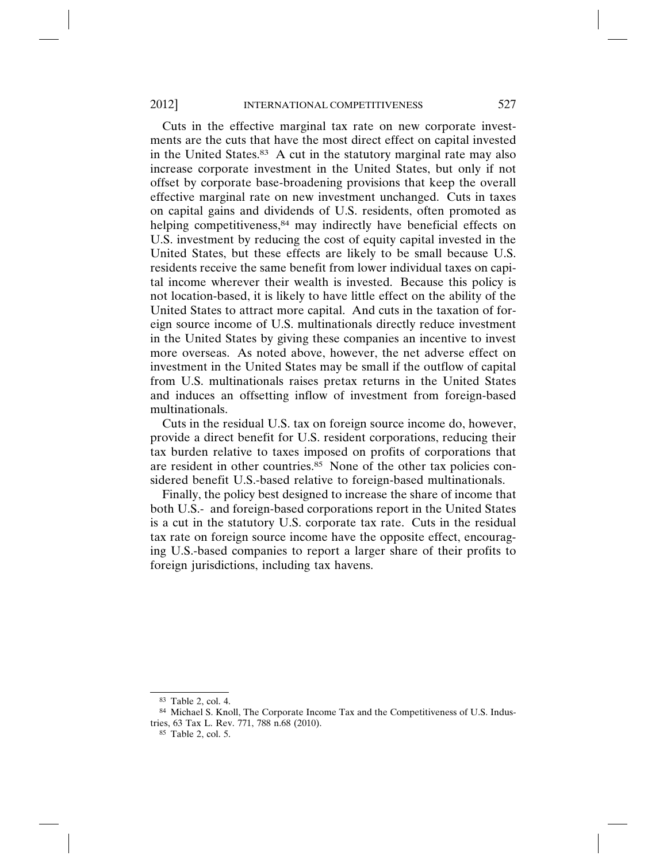Cuts in the effective marginal tax rate on new corporate investments are the cuts that have the most direct effect on capital invested in the United States.83 A cut in the statutory marginal rate may also increase corporate investment in the United States, but only if not offset by corporate base-broadening provisions that keep the overall effective marginal rate on new investment unchanged. Cuts in taxes on capital gains and dividends of U.S. residents, often promoted as helping competitiveness,<sup>84</sup> may indirectly have beneficial effects on U.S. investment by reducing the cost of equity capital invested in the United States, but these effects are likely to be small because U.S. residents receive the same benefit from lower individual taxes on capital income wherever their wealth is invested. Because this policy is not location-based, it is likely to have little effect on the ability of the United States to attract more capital. And cuts in the taxation of foreign source income of U.S. multinationals directly reduce investment in the United States by giving these companies an incentive to invest more overseas. As noted above, however, the net adverse effect on investment in the United States may be small if the outflow of capital from U.S. multinationals raises pretax returns in the United States and induces an offsetting inflow of investment from foreign-based multinationals.

Cuts in the residual U.S. tax on foreign source income do, however, provide a direct benefit for U.S. resident corporations, reducing their tax burden relative to taxes imposed on profits of corporations that are resident in other countries.<sup>85</sup> None of the other tax policies considered benefit U.S.-based relative to foreign-based multinationals.

Finally, the policy best designed to increase the share of income that both U.S.- and foreign-based corporations report in the United States is a cut in the statutory U.S. corporate tax rate. Cuts in the residual tax rate on foreign source income have the opposite effect, encouraging U.S.-based companies to report a larger share of their profits to foreign jurisdictions, including tax havens.

<sup>83</sup> Table 2, col. 4.

<sup>84</sup> Michael S. Knoll, The Corporate Income Tax and the Competitiveness of U.S. Industries, 63 Tax L. Rev. 771, 788 n.68 (2010).

<sup>85</sup> Table 2, col. 5.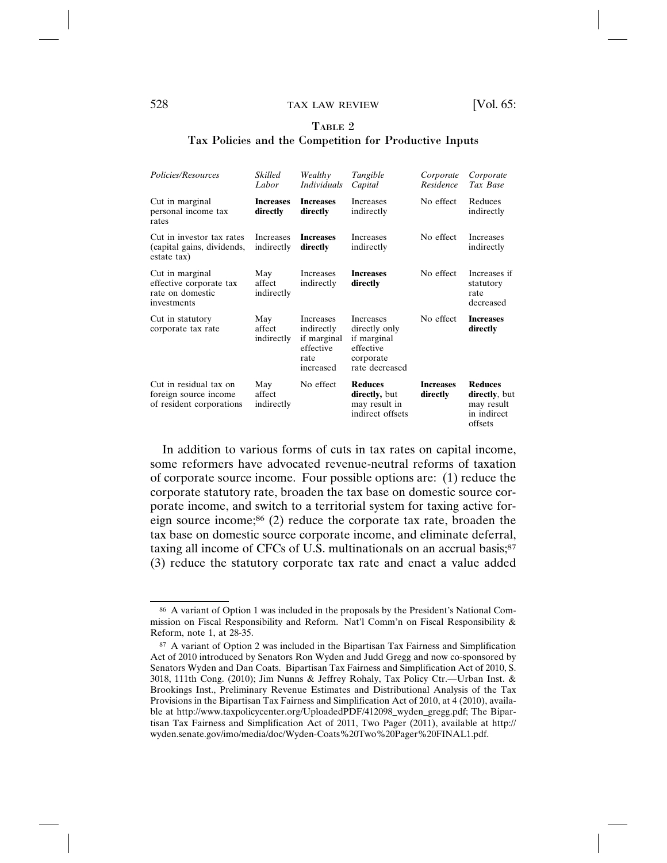# TABLE 2

#### Tax Policies and the Competition for Productive Inputs

| Policies/Resources                                                            | Skilled<br>Labor                      | Wealthy<br><i>Individuals</i>                                                   | Tangible<br>Capital                                                                          | Corporate<br>Residence       | Corporate<br>Tax Base                                                   |
|-------------------------------------------------------------------------------|---------------------------------------|---------------------------------------------------------------------------------|----------------------------------------------------------------------------------------------|------------------------------|-------------------------------------------------------------------------|
| Cut in marginal<br>personal income tax<br>rates                               | <b>Increases</b><br>directly          | <b>Increases</b><br>directly                                                    | <b>Increases</b><br>indirectly                                                               | No effect                    | Reduces<br>indirectly                                                   |
| Cut in investor tax rates<br>(capital gains, dividends,<br>estate tax)        | <i><u>Increases</u></i><br>indirectly | <b>Increases</b><br>directly                                                    | <i><u>Increases</u></i><br>indirectly                                                        | No effect                    | <i><u>Increases</u></i><br>indirectly                                   |
| Cut in marginal<br>effective corporate tax<br>rate on domestic<br>investments | May<br>affect<br>indirectly           | Increases<br>indirectly                                                         | <b>Increases</b><br>directly                                                                 | No effect                    | Increases if<br>statutory<br>rate<br>decreased                          |
| Cut in statutory<br>corporate tax rate                                        | May<br>affect<br>indirectly           | <b>Increases</b><br>indirectly<br>if marginal<br>effective<br>rate<br>increased | <b>Increases</b><br>directly only<br>if marginal<br>effective<br>corporate<br>rate decreased | No effect                    | <b>Increases</b><br>directly                                            |
| Cut in residual tax on<br>foreign source income<br>of resident corporations   | May<br>affect<br>indirectly           | No effect                                                                       | <b>Reduces</b><br>directly, but<br>may result in<br>indirect offsets                         | <b>Increases</b><br>directly | <b>Reduces</b><br>directly, but<br>may result<br>in indirect<br>offsets |

In addition to various forms of cuts in tax rates on capital income, some reformers have advocated revenue-neutral reforms of taxation of corporate source income. Four possible options are: (1) reduce the corporate statutory rate, broaden the tax base on domestic source corporate income, and switch to a territorial system for taxing active foreign source income;<sup>86</sup> (2) reduce the corporate tax rate, broaden the tax base on domestic source corporate income, and eliminate deferral, taxing all income of CFCs of U.S. multinationals on an accrual basis;<sup>87</sup> (3) reduce the statutory corporate tax rate and enact a value added

<sup>86</sup> A variant of Option 1 was included in the proposals by the President's National Commission on Fiscal Responsibility and Reform. Nat'l Comm'n on Fiscal Responsibility & Reform, note 1, at 28-35.

<sup>87</sup> A variant of Option 2 was included in the Bipartisan Tax Fairness and Simplification Act of 2010 introduced by Senators Ron Wyden and Judd Gregg and now co-sponsored by Senators Wyden and Dan Coats. Bipartisan Tax Fairness and Simplification Act of 2010, S. 3018, 111th Cong. (2010); Jim Nunns & Jeffrey Rohaly, Tax Policy Ctr.—Urban Inst. & Brookings Inst., Preliminary Revenue Estimates and Distributional Analysis of the Tax Provisions in the Bipartisan Tax Fairness and Simplification Act of 2010, at 4 (2010), available at http://www.taxpolicycenter.org/UploadedPDF/412098\_wyden\_gregg.pdf; The Bipartisan Tax Fairness and Simplification Act of 2011, Two Pager (2011), available at http:// wyden.senate.gov/imo/media/doc/Wyden-Coats%20Two%20Pager%20FINAL1.pdf.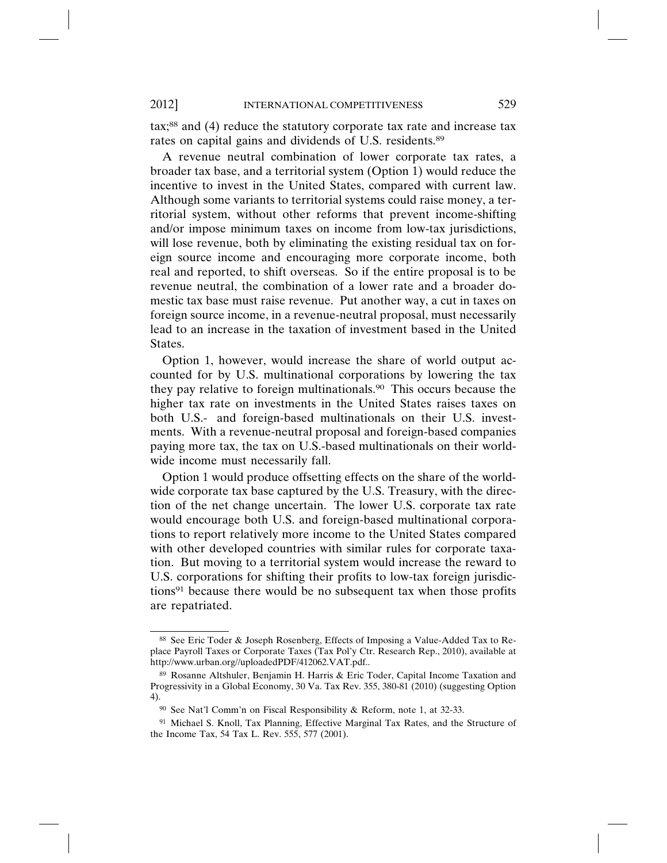tax;88 and (4) reduce the statutory corporate tax rate and increase tax rates on capital gains and dividends of U.S. residents.89

A revenue neutral combination of lower corporate tax rates, a broader tax base, and a territorial system (Option 1) would reduce the incentive to invest in the United States, compared with current law. Although some variants to territorial systems could raise money, a territorial system, without other reforms that prevent income-shifting and/or impose minimum taxes on income from low-tax jurisdictions, will lose revenue, both by eliminating the existing residual tax on foreign source income and encouraging more corporate income, both real and reported, to shift overseas. So if the entire proposal is to be revenue neutral, the combination of a lower rate and a broader domestic tax base must raise revenue. Put another way, a cut in taxes on foreign source income, in a revenue-neutral proposal, must necessarily lead to an increase in the taxation of investment based in the United States.

Option 1, however, would increase the share of world output accounted for by U.S. multinational corporations by lowering the tax they pay relative to foreign multinationals.90 This occurs because the higher tax rate on investments in the United States raises taxes on both U.S.- and foreign-based multinationals on their U.S. investments. With a revenue-neutral proposal and foreign-based companies paying more tax, the tax on U.S.-based multinationals on their worldwide income must necessarily fall.

Option 1 would produce offsetting effects on the share of the worldwide corporate tax base captured by the U.S. Treasury, with the direction of the net change uncertain. The lower U.S. corporate tax rate would encourage both U.S. and foreign-based multinational corporations to report relatively more income to the United States compared with other developed countries with similar rules for corporate taxation. But moving to a territorial system would increase the reward to U.S. corporations for shifting their profits to low-tax foreign jurisdictions91 because there would be no subsequent tax when those profits are repatriated.

<sup>88</sup> See Eric Toder & Joseph Rosenberg, Effects of Imposing a Value-Added Tax to Replace Payroll Taxes or Corporate Taxes (Tax Pol'y Ctr. Research Rep., 2010), available at http://www.urban.org//uploadedPDF/412062.VAT.pdf..

<sup>89</sup> Rosanne Altshuler, Benjamin H. Harris & Eric Toder, Capital Income Taxation and Progressivity in a Global Economy, 30 Va. Tax Rev. 355, 380-81 (2010) (suggesting Option 4).

<sup>90</sup> See Nat'l Comm'n on Fiscal Responsibility & Reform, note 1, at 32-33.

<sup>91</sup> Michael S. Knoll, Tax Planning, Effective Marginal Tax Rates, and the Structure of the Income Tax, 54 Tax L. Rev. 555, 577 (2001).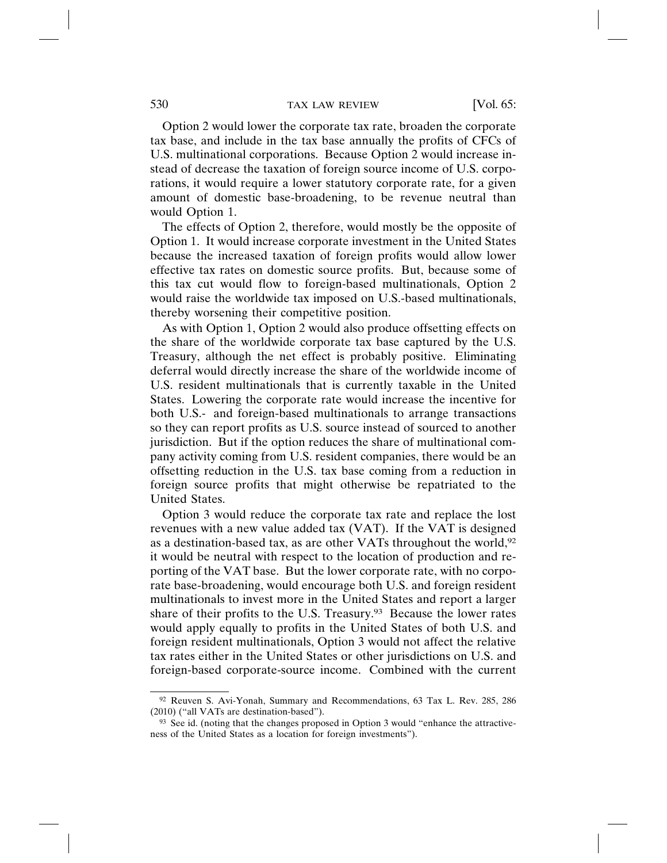Option 2 would lower the corporate tax rate, broaden the corporate tax base, and include in the tax base annually the profits of CFCs of U.S. multinational corporations. Because Option 2 would increase instead of decrease the taxation of foreign source income of U.S. corporations, it would require a lower statutory corporate rate, for a given amount of domestic base-broadening, to be revenue neutral than would Option 1.

The effects of Option 2, therefore, would mostly be the opposite of Option 1. It would increase corporate investment in the United States because the increased taxation of foreign profits would allow lower effective tax rates on domestic source profits. But, because some of this tax cut would flow to foreign-based multinationals, Option 2 would raise the worldwide tax imposed on U.S.-based multinationals, thereby worsening their competitive position.

As with Option 1, Option 2 would also produce offsetting effects on the share of the worldwide corporate tax base captured by the U.S. Treasury, although the net effect is probably positive. Eliminating deferral would directly increase the share of the worldwide income of U.S. resident multinationals that is currently taxable in the United States. Lowering the corporate rate would increase the incentive for both U.S.- and foreign-based multinationals to arrange transactions so they can report profits as U.S. source instead of sourced to another jurisdiction. But if the option reduces the share of multinational company activity coming from U.S. resident companies, there would be an offsetting reduction in the U.S. tax base coming from a reduction in foreign source profits that might otherwise be repatriated to the United States.

Option 3 would reduce the corporate tax rate and replace the lost revenues with a new value added tax (VAT). If the VAT is designed as a destination-based tax, as are other VATs throughout the world,92 it would be neutral with respect to the location of production and reporting of the VAT base. But the lower corporate rate, with no corporate base-broadening, would encourage both U.S. and foreign resident multinationals to invest more in the United States and report a larger share of their profits to the U.S. Treasury.<sup>93</sup> Because the lower rates would apply equally to profits in the United States of both U.S. and foreign resident multinationals, Option 3 would not affect the relative tax rates either in the United States or other jurisdictions on U.S. and foreign-based corporate-source income. Combined with the current

<sup>92</sup> Reuven S. Avi-Yonah, Summary and Recommendations, 63 Tax L. Rev. 285, 286 (2010) ("all VATs are destination-based").

<sup>93</sup> See id. (noting that the changes proposed in Option 3 would "enhance the attractiveness of the United States as a location for foreign investments").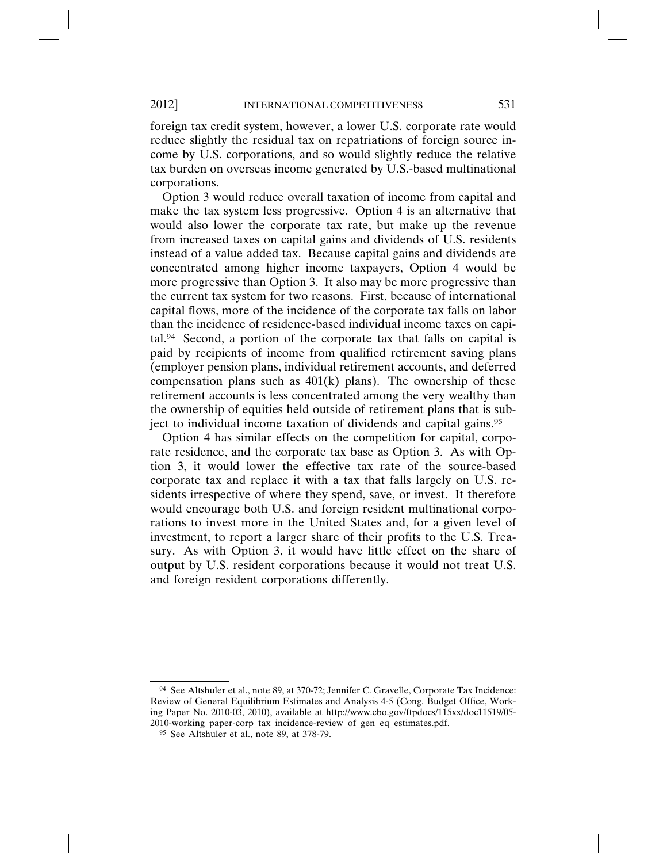foreign tax credit system, however, a lower U.S. corporate rate would reduce slightly the residual tax on repatriations of foreign source income by U.S. corporations, and so would slightly reduce the relative tax burden on overseas income generated by U.S.-based multinational corporations.

Option 3 would reduce overall taxation of income from capital and make the tax system less progressive. Option 4 is an alternative that would also lower the corporate tax rate, but make up the revenue from increased taxes on capital gains and dividends of U.S. residents instead of a value added tax. Because capital gains and dividends are concentrated among higher income taxpayers, Option 4 would be more progressive than Option 3. It also may be more progressive than the current tax system for two reasons. First, because of international capital flows, more of the incidence of the corporate tax falls on labor than the incidence of residence-based individual income taxes on capital.94 Second, a portion of the corporate tax that falls on capital is paid by recipients of income from qualified retirement saving plans (employer pension plans, individual retirement accounts, and deferred compensation plans such as  $401(k)$  plans). The ownership of these retirement accounts is less concentrated among the very wealthy than the ownership of equities held outside of retirement plans that is subject to individual income taxation of dividends and capital gains.95

Option 4 has similar effects on the competition for capital, corporate residence, and the corporate tax base as Option 3. As with Option 3, it would lower the effective tax rate of the source-based corporate tax and replace it with a tax that falls largely on U.S. residents irrespective of where they spend, save, or invest. It therefore would encourage both U.S. and foreign resident multinational corporations to invest more in the United States and, for a given level of investment, to report a larger share of their profits to the U.S. Treasury. As with Option 3, it would have little effect on the share of output by U.S. resident corporations because it would not treat U.S. and foreign resident corporations differently.

<sup>94</sup> See Altshuler et al., note 89, at 370-72; Jennifer C. Gravelle, Corporate Tax Incidence: Review of General Equilibrium Estimates and Analysis 4-5 (Cong. Budget Office, Working Paper No. 2010-03, 2010), available at http://www.cbo.gov/ftpdocs/115xx/doc11519/05- 2010-working\_paper-corp\_tax\_incidence-review\_of\_gen\_eq\_estimates.pdf.

<sup>95</sup> See Altshuler et al., note 89, at 378-79.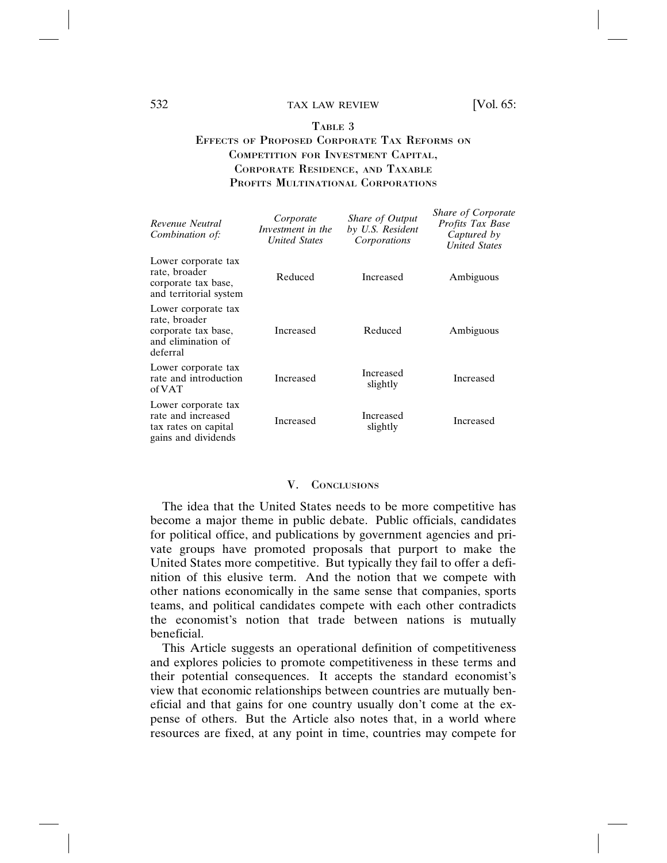# TABLE 3

# EFFECTS OF PROPOSED CORPORATE TAX REFORMS ON COMPETITION FOR INVESTMENT CAPITAL, CORPORATE RESIDENCE, AND TAXABLE PROFITS MULTINATIONAL CORPORATIONS

| Revenue Neutral<br>Combination of:                                                            | Corporate<br>Investment in the<br><b>United States</b> | Share of Output<br>by U.S. Resident<br>Corporations | <b>Share of Corporate</b><br><i>Profits Tax Base</i><br>Captured by<br><b>United States</b> |
|-----------------------------------------------------------------------------------------------|--------------------------------------------------------|-----------------------------------------------------|---------------------------------------------------------------------------------------------|
| Lower corporate tax<br>rate, broader<br>corporate tax base,<br>and territorial system         | Reduced                                                | Increased                                           | Ambiguous                                                                                   |
| Lower corporate tax<br>rate, broader<br>corporate tax base,<br>and elimination of<br>deferral | Increased                                              | Reduced                                             | Ambiguous                                                                                   |
| Lower corporate tax<br>rate and introduction<br>of VAT                                        | Increased                                              | Increased<br>slightly                               | Increased                                                                                   |
| Lower corporate tax<br>rate and increased<br>tax rates on capital<br>gains and dividends      | Increased                                              | Increased<br>slightly                               | Increased                                                                                   |

#### V. CONCLUSIONS

The idea that the United States needs to be more competitive has become a major theme in public debate. Public officials, candidates for political office, and publications by government agencies and private groups have promoted proposals that purport to make the United States more competitive. But typically they fail to offer a definition of this elusive term. And the notion that we compete with other nations economically in the same sense that companies, sports teams, and political candidates compete with each other contradicts the economist's notion that trade between nations is mutually beneficial.

This Article suggests an operational definition of competitiveness and explores policies to promote competitiveness in these terms and their potential consequences. It accepts the standard economist's view that economic relationships between countries are mutually beneficial and that gains for one country usually don't come at the expense of others. But the Article also notes that, in a world where resources are fixed, at any point in time, countries may compete for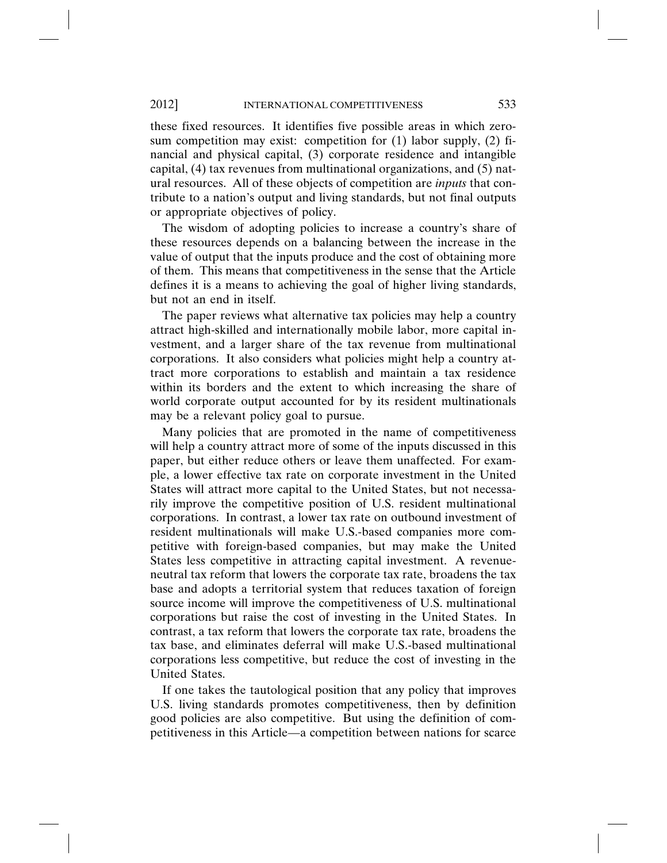these fixed resources. It identifies five possible areas in which zerosum competition may exist: competition for (1) labor supply, (2) financial and physical capital, (3) corporate residence and intangible capital, (4) tax revenues from multinational organizations, and (5) natural resources. All of these objects of competition are *inputs* that contribute to a nation's output and living standards, but not final outputs or appropriate objectives of policy.

The wisdom of adopting policies to increase a country's share of these resources depends on a balancing between the increase in the value of output that the inputs produce and the cost of obtaining more of them. This means that competitiveness in the sense that the Article defines it is a means to achieving the goal of higher living standards, but not an end in itself.

The paper reviews what alternative tax policies may help a country attract high-skilled and internationally mobile labor, more capital investment, and a larger share of the tax revenue from multinational corporations. It also considers what policies might help a country attract more corporations to establish and maintain a tax residence within its borders and the extent to which increasing the share of world corporate output accounted for by its resident multinationals may be a relevant policy goal to pursue.

Many policies that are promoted in the name of competitiveness will help a country attract more of some of the inputs discussed in this paper, but either reduce others or leave them unaffected. For example, a lower effective tax rate on corporate investment in the United States will attract more capital to the United States, but not necessarily improve the competitive position of U.S. resident multinational corporations. In contrast, a lower tax rate on outbound investment of resident multinationals will make U.S.-based companies more competitive with foreign-based companies, but may make the United States less competitive in attracting capital investment. A revenueneutral tax reform that lowers the corporate tax rate, broadens the tax base and adopts a territorial system that reduces taxation of foreign source income will improve the competitiveness of U.S. multinational corporations but raise the cost of investing in the United States. In contrast, a tax reform that lowers the corporate tax rate, broadens the tax base, and eliminates deferral will make U.S.-based multinational corporations less competitive, but reduce the cost of investing in the United States.

If one takes the tautological position that any policy that improves U.S. living standards promotes competitiveness, then by definition good policies are also competitive. But using the definition of competitiveness in this Article—a competition between nations for scarce